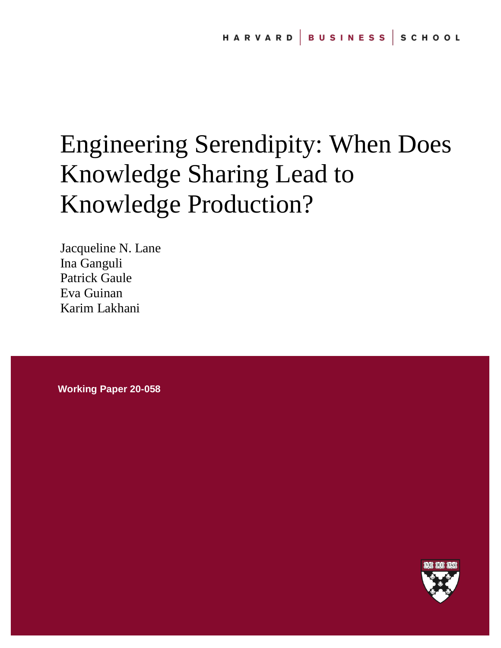# Engineering Serendipity: When Does Knowledge Sharing Lead to Knowledge Production?

Jacqueline N. Lane Ina Ganguli Patrick Gaule Eva Guinan Karim Lakhani

**Working Paper 20-058**

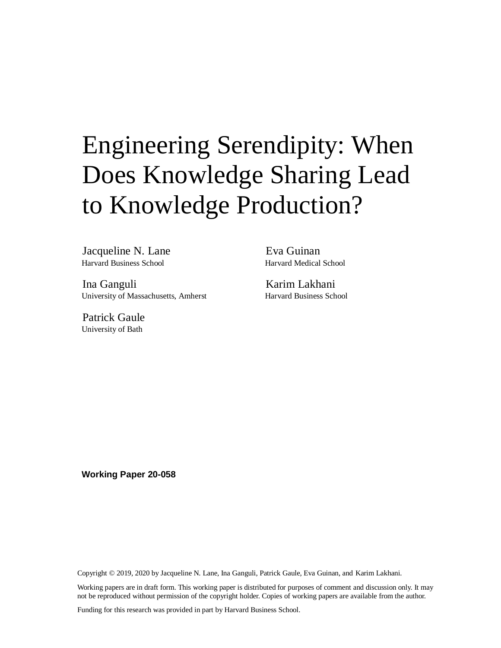# Engineering Serendipity: When Does Knowledge Sharing Lead to Knowledge Production?

Jacqueline N. Lane Harvard Business School

Ina Ganguli University of Massachusetts, Amherst

Patrick Gaule University of Bath

Eva Guinan Harvard Medical School

Karim Lakhani Harvard Business School

**Working Paper 20-058**

Copyright © 2019, 2020 by Jacqueline N. Lane, Ina Ganguli, Patrick Gaule, Eva Guinan, and Karim Lakhani.

Working papers are in draft form. This working paper is distributed for purposes of comment and discussion only. It may not be reproduced without permission of the copyright holder. Copies of working papers are available from the author.

Funding for this research was provided in part by Harvard Business School.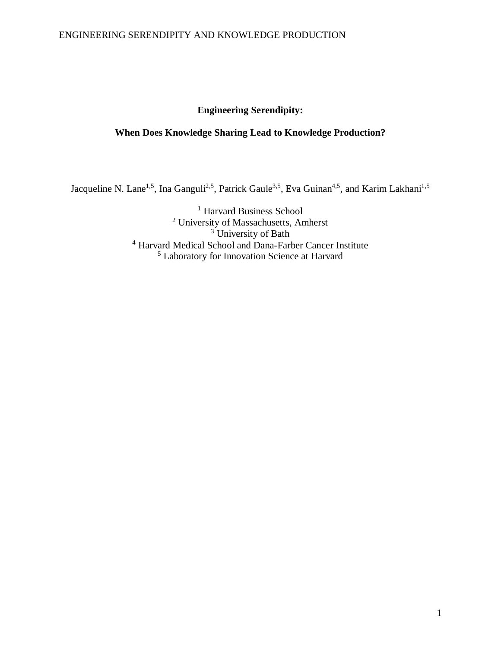# **Engineering Serendipity:**

# **When Does Knowledge Sharing Lead to Knowledge Production?**

Jacqueline N. Lane<sup>1,5</sup>, Ina Ganguli<sup>2,5</sup>, Patrick Gaule<sup>3,5</sup>, Eva Guinan<sup>4,5</sup>, and Karim Lakhani<sup>1,5</sup>

<sup>1</sup> Harvard Business School <sup>2</sup> University of Massachusetts, Amherst <sup>3</sup> University of Bath <sup>4</sup> Harvard Medical School and Dana-Farber Cancer Institute <sup>5</sup> Laboratory for Innovation Science at Harvard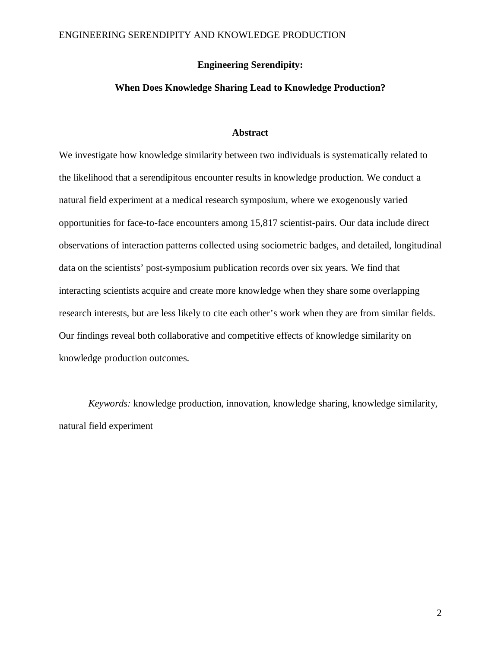## **Engineering Serendipity:**

## **When Does Knowledge Sharing Lead to Knowledge Production?**

## **Abstract**

We investigate how knowledge similarity between two individuals is systematically related to the likelihood that a serendipitous encounter results in knowledge production. We conduct a natural field experiment at a medical research symposium, where we exogenously varied opportunities for face-to-face encounters among 15,817 scientist-pairs. Our data include direct observations of interaction patterns collected using sociometric badges, and detailed, longitudinal data on the scientists' post-symposium publication records over six years. We find that interacting scientists acquire and create more knowledge when they share some overlapping research interests, but are less likely to cite each other's work when they are from similar fields. Our findings reveal both collaborative and competitive effects of knowledge similarity on knowledge production outcomes.

*Keywords:* knowledge production, innovation, knowledge sharing, knowledge similarity, natural field experiment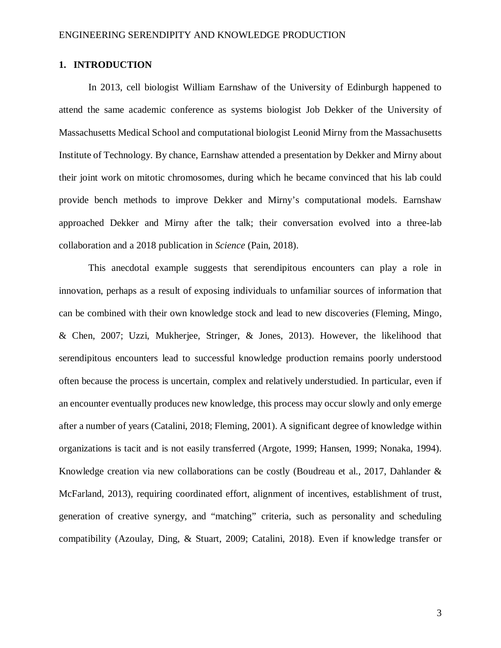## **1. INTRODUCTION**

In 2013, cell biologist William Earnshaw of the University of Edinburgh happened to attend the same academic conference as systems biologist Job Dekker of the University of Massachusetts Medical School and computational biologist Leonid Mirny from the Massachusetts Institute of Technology. By chance, Earnshaw attended a presentation by Dekker and Mirny about their joint work on mitotic chromosomes, during which he became convinced that his lab could provide bench methods to improve Dekker and Mirny's computational models. Earnshaw approached Dekker and Mirny after the talk; their conversation evolved into a three-lab collaboration and a 2018 publication in *Science* (Pain, 2018).

This anecdotal example suggests that serendipitous encounters can play a role in innovation, perhaps as a result of exposing individuals to unfamiliar sources of information that can be combined with their own knowledge stock and lead to new discoveries (Fleming, Mingo, & Chen, 2007; Uzzi, Mukherjee, Stringer, & Jones, 2013). However, the likelihood that serendipitous encounters lead to successful knowledge production remains poorly understood often because the process is uncertain, complex and relatively understudied. In particular, even if an encounter eventually produces new knowledge, this process may occur slowly and only emerge after a number of years (Catalini, 2018; Fleming, 2001). A significant degree of knowledge within organizations is tacit and is not easily transferred (Argote, 1999; Hansen, 1999; Nonaka, 1994). Knowledge creation via new collaborations can be costly (Boudreau et al., 2017, Dahlander & McFarland, 2013), requiring coordinated effort, alignment of incentives, establishment of trust, generation of creative synergy, and "matching" criteria, such as personality and scheduling compatibility (Azoulay, Ding, & Stuart, 2009; Catalini, 2018). Even if knowledge transfer or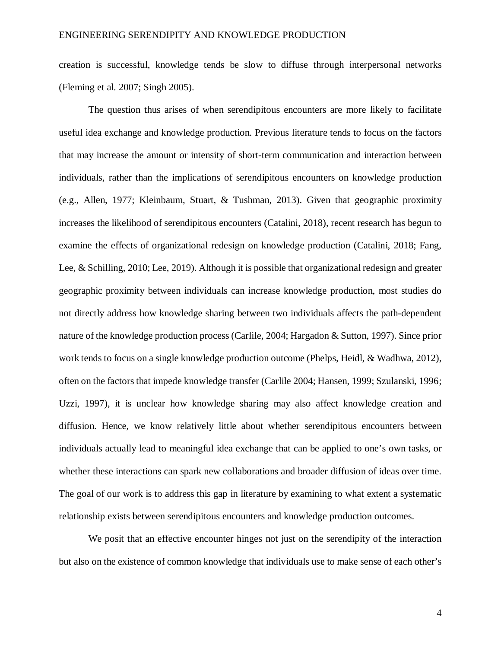creation is successful, knowledge tends be slow to diffuse through interpersonal networks (Fleming et al. 2007; Singh 2005).

The question thus arises of when serendipitous encounters are more likely to facilitate useful idea exchange and knowledge production. Previous literature tends to focus on the factors that may increase the amount or intensity of short-term communication and interaction between individuals, rather than the implications of serendipitous encounters on knowledge production (e.g., Allen, 1977; Kleinbaum, Stuart, & Tushman, 2013). Given that geographic proximity increases the likelihood of serendipitous encounters (Catalini, 2018), recent research has begun to examine the effects of organizational redesign on knowledge production (Catalini, 2018; Fang, Lee, & Schilling, 2010; Lee, 2019). Although it is possible that organizational redesign and greater geographic proximity between individuals can increase knowledge production, most studies do not directly address how knowledge sharing between two individuals affects the path-dependent nature of the knowledge production process (Carlile, 2004; Hargadon & Sutton, 1997). Since prior work tends to focus on a single knowledge production outcome (Phelps, Heidl, & Wadhwa, 2012), often on the factors that impede knowledge transfer (Carlile 2004; Hansen, 1999; Szulanski, 1996; Uzzi, 1997), it is unclear how knowledge sharing may also affect knowledge creation and diffusion. Hence, we know relatively little about whether serendipitous encounters between individuals actually lead to meaningful idea exchange that can be applied to one's own tasks, or whether these interactions can spark new collaborations and broader diffusion of ideas over time. The goal of our work is to address this gap in literature by examining to what extent a systematic relationship exists between serendipitous encounters and knowledge production outcomes.

We posit that an effective encounter hinges not just on the serendipity of the interaction but also on the existence of common knowledge that individuals use to make sense of each other's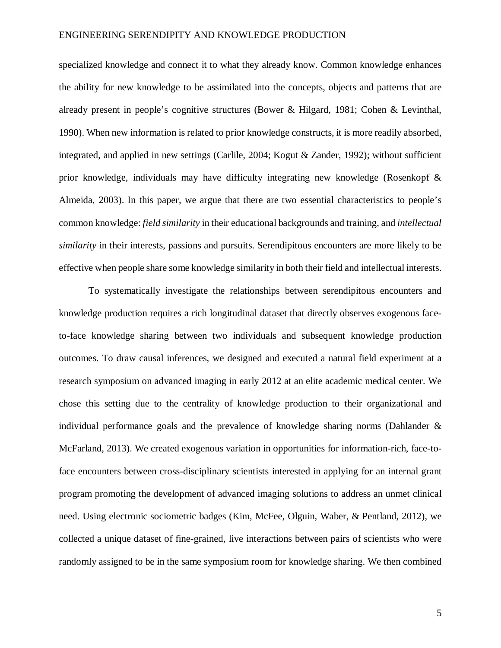specialized knowledge and connect it to what they already know. Common knowledge enhances the ability for new knowledge to be assimilated into the concepts, objects and patterns that are already present in people's cognitive structures (Bower & Hilgard, 1981; Cohen & Levinthal, 1990). When new information is related to prior knowledge constructs, it is more readily absorbed, integrated, and applied in new settings (Carlile, 2004; Kogut & Zander, 1992); without sufficient prior knowledge, individuals may have difficulty integrating new knowledge (Rosenkopf & Almeida, 2003). In this paper, we argue that there are two essential characteristics to people's common knowledge: *field similarity* in their educational backgrounds and training, and *intellectual similarity* in their interests, passions and pursuits. Serendipitous encounters are more likely to be effective when people share some knowledge similarity in both their field and intellectual interests.

To systematically investigate the relationships between serendipitous encounters and knowledge production requires a rich longitudinal dataset that directly observes exogenous faceto-face knowledge sharing between two individuals and subsequent knowledge production outcomes. To draw causal inferences, we designed and executed a natural field experiment at a research symposium on advanced imaging in early 2012 at an elite academic medical center. We chose this setting due to the centrality of knowledge production to their organizational and individual performance goals and the prevalence of knowledge sharing norms (Dahlander & McFarland, 2013). We created exogenous variation in opportunities for information-rich, face-toface encounters between cross-disciplinary scientists interested in applying for an internal grant program promoting the development of advanced imaging solutions to address an unmet clinical need. Using electronic sociometric badges (Kim, McFee, Olguin, Waber, & Pentland, 2012), we collected a unique dataset of fine-grained, live interactions between pairs of scientists who were randomly assigned to be in the same symposium room for knowledge sharing. We then combined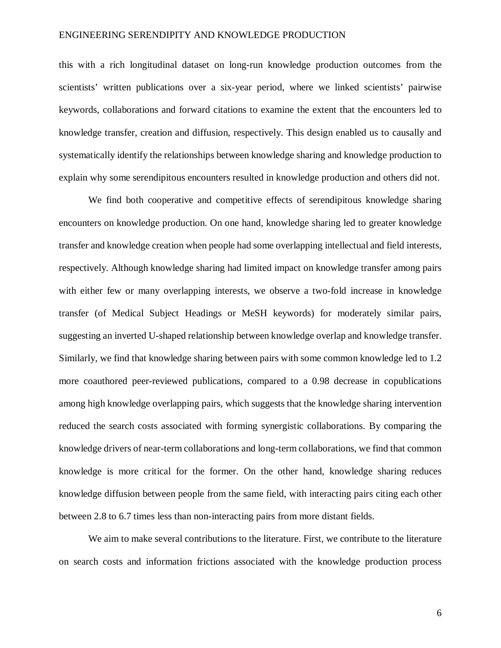this with a rich longitudinal dataset on long-run knowledge production outcomes from the scientists' written publications over a six-year period, where we linked scientists' pairwise keywords, collaborations and forward citations to examine the extent that the encounters led to knowledge transfer, creation and diffusion, respectively. This design enabled us to causally and systematically identify the relationships between knowledge sharing and knowledge production to explain why some serendipitous encounters resulted in knowledge production and others did not.

We find both cooperative and competitive effects of serendipitous knowledge sharing encounters on knowledge production. On one hand, knowledge sharing led to greater knowledge transfer and knowledge creation when people had some overlapping intellectual and field interests, respectively. Although knowledge sharing had limited impact on knowledge transfer among pairs with either few or many overlapping interests, we observe a two-fold increase in knowledge transfer (of Medical Subject Headings or MeSH keywords) for moderately similar pairs, suggesting an inverted U-shaped relationship between knowledge overlap and knowledge transfer. Similarly, we find that knowledge sharing between pairs with some common knowledge led to 1.2 more coauthored peer-reviewed publications, compared to a 0.98 decrease in copublications among high knowledge overlapping pairs, which suggests that the knowledge sharing intervention reduced the search costs associated with forming synergistic collaborations. By comparing the knowledge drivers of near-term collaborations and long-term collaborations, we find that common knowledge is more critical for the former. On the other hand, knowledge sharing reduces knowledge diffusion between people from the same field, with interacting pairs citing each other between 2.8 to 6.7 times less than non-interacting pairs from more distant fields.

We aim to make several contributions to the literature. First, we contribute to the literature on search costs and information frictions associated with the knowledge production process

6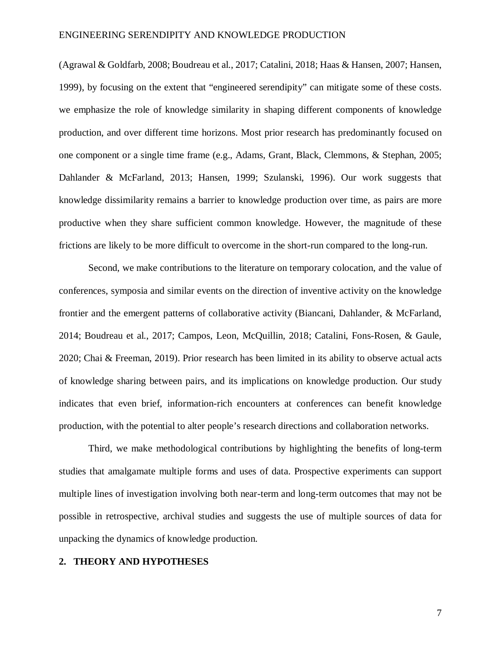(Agrawal & Goldfarb, 2008; Boudreau et al., 2017; Catalini, 2018; Haas & Hansen, 2007; Hansen, 1999), by focusing on the extent that "engineered serendipity" can mitigate some of these costs. we emphasize the role of knowledge similarity in shaping different components of knowledge production, and over different time horizons. Most prior research has predominantly focused on one component or a single time frame (e.g., Adams, Grant, Black, Clemmons, & Stephan, 2005; Dahlander & McFarland, 2013; Hansen, 1999; Szulanski, 1996). Our work suggests that knowledge dissimilarity remains a barrier to knowledge production over time, as pairs are more productive when they share sufficient common knowledge. However, the magnitude of these frictions are likely to be more difficult to overcome in the short-run compared to the long-run.

Second, we make contributions to the literature on temporary colocation, and the value of conferences, symposia and similar events on the direction of inventive activity on the knowledge frontier and the emergent patterns of collaborative activity (Biancani, Dahlander, & McFarland, 2014; Boudreau et al., 2017; Campos, Leon, McQuillin, 2018; Catalini, Fons-Rosen, & Gaule, 2020; Chai & Freeman, 2019). Prior research has been limited in its ability to observe actual acts of knowledge sharing between pairs, and its implications on knowledge production. Our study indicates that even brief, information-rich encounters at conferences can benefit knowledge production, with the potential to alter people's research directions and collaboration networks.

Third, we make methodological contributions by highlighting the benefits of long-term studies that amalgamate multiple forms and uses of data. Prospective experiments can support multiple lines of investigation involving both near-term and long-term outcomes that may not be possible in retrospective, archival studies and suggests the use of multiple sources of data for unpacking the dynamics of knowledge production.

#### **2. THEORY AND HYPOTHESES**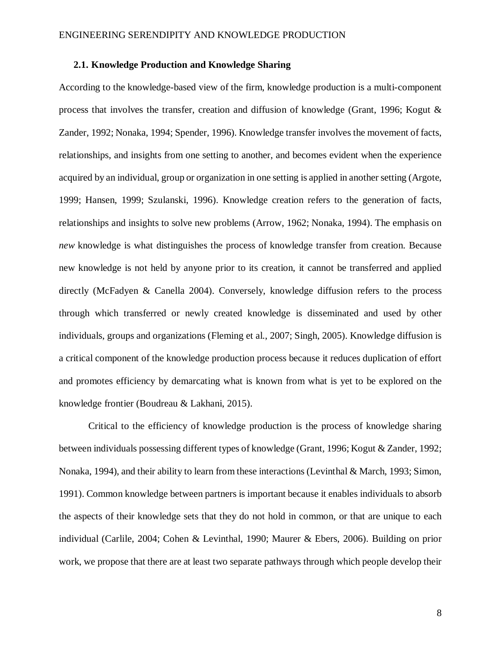#### **2.1. Knowledge Production and Knowledge Sharing**

According to the knowledge-based view of the firm, knowledge production is a multi-component process that involves the transfer, creation and diffusion of knowledge (Grant, 1996; Kogut & Zander, 1992; Nonaka, 1994; Spender, 1996). Knowledge transfer involves the movement of facts, relationships, and insights from one setting to another, and becomes evident when the experience acquired by an individual, group or organization in one setting is applied in another setting (Argote, 1999; Hansen, 1999; Szulanski, 1996). Knowledge creation refers to the generation of facts, relationships and insights to solve new problems (Arrow, 1962; Nonaka, 1994). The emphasis on *new* knowledge is what distinguishes the process of knowledge transfer from creation. Because new knowledge is not held by anyone prior to its creation, it cannot be transferred and applied directly (McFadyen & Canella 2004). Conversely, knowledge diffusion refers to the process through which transferred or newly created knowledge is disseminated and used by other individuals, groups and organizations (Fleming et al., 2007; Singh, 2005). Knowledge diffusion is a critical component of the knowledge production process because it reduces duplication of effort and promotes efficiency by demarcating what is known from what is yet to be explored on the knowledge frontier (Boudreau & Lakhani, 2015).

Critical to the efficiency of knowledge production is the process of knowledge sharing between individuals possessing different types of knowledge (Grant, 1996; Kogut & Zander, 1992; Nonaka, 1994), and their ability to learn from these interactions (Levinthal & March, 1993; Simon, 1991). Common knowledge between partners is important because it enables individuals to absorb the aspects of their knowledge sets that they do not hold in common, or that are unique to each individual (Carlile, 2004; Cohen & Levinthal, 1990; Maurer & Ebers, 2006). Building on prior work, we propose that there are at least two separate pathways through which people develop their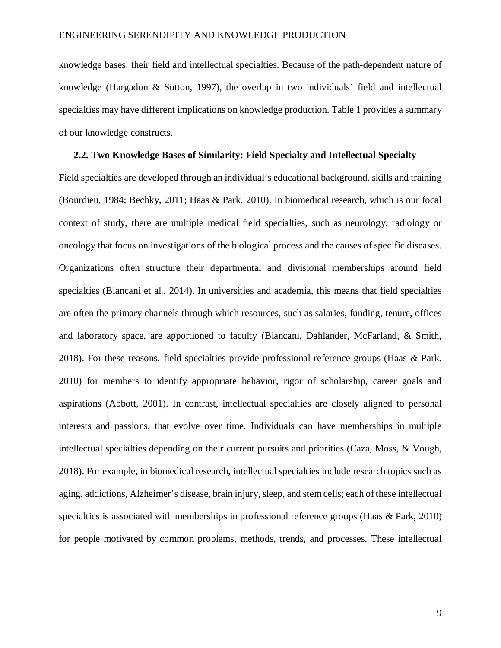knowledge bases: their field and intellectual specialties. Because of the path-dependent nature of knowledge (Hargadon & Sutton, 1997), the overlap in two individuals' field and intellectual specialties may have different implications on knowledge production. Table 1 provides a summary of our knowledge constructs.

#### **2.2. Two Knowledge Bases of Similarity: Field Specialty and Intellectual Specialty**

Field specialties are developed through an individual's educational background, skills and training (Bourdieu, 1984; Bechky, 2011; Haas & Park, 2010). In biomedical research, which is our focal context of study, there are multiple medical field specialties, such as neurology, radiology or oncology that focus on investigations of the biological process and the causes of specific diseases. Organizations often structure their departmental and divisional memberships around field specialties (Biancani et al., 2014). In universities and academia, this means that field specialties are often the primary channels through which resources, such as salaries, funding, tenure, offices and laboratory space, are apportioned to faculty (Biancani, Dahlander, McFarland, & Smith, 2018). For these reasons, field specialties provide professional reference groups (Haas & Park, 2010) for members to identify appropriate behavior, rigor of scholarship, career goals and aspirations (Abbott, 2001). In contrast, intellectual specialties are closely aligned to personal interests and passions, that evolve over time. Individuals can have memberships in multiple intellectual specialties depending on their current pursuits and priorities (Caza, Moss, & Vough, 2018). For example, in biomedical research, intellectual specialties include research topics such as aging, addictions, Alzheimer's disease, brain injury, sleep, and stem cells; each of these intellectual specialties is associated with memberships in professional reference groups (Haas & Park, 2010) for people motivated by common problems, methods, trends, and processes. These intellectual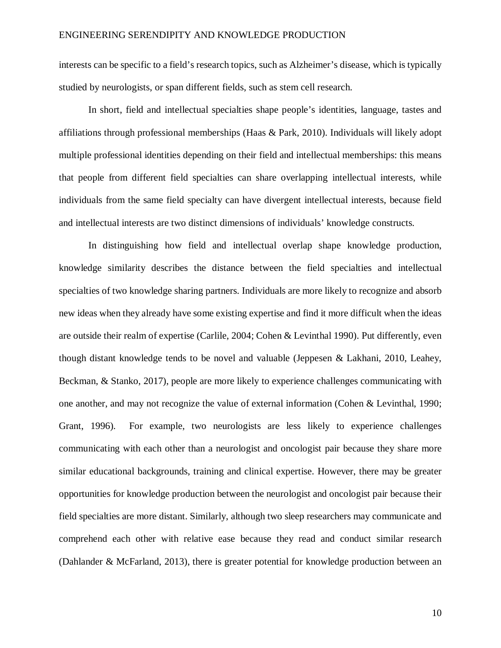interests can be specific to a field's research topics, such as Alzheimer's disease, which is typically studied by neurologists, or span different fields, such as stem cell research.

In short, field and intellectual specialties shape people's identities, language, tastes and affiliations through professional memberships (Haas & Park, 2010). Individuals will likely adopt multiple professional identities depending on their field and intellectual memberships: this means that people from different field specialties can share overlapping intellectual interests, while individuals from the same field specialty can have divergent intellectual interests, because field and intellectual interests are two distinct dimensions of individuals' knowledge constructs.

In distinguishing how field and intellectual overlap shape knowledge production, knowledge similarity describes the distance between the field specialties and intellectual specialties of two knowledge sharing partners. Individuals are more likely to recognize and absorb new ideas when they already have some existing expertise and find it more difficult when the ideas are outside their realm of expertise (Carlile, 2004; Cohen & Levinthal 1990). Put differently, even though distant knowledge tends to be novel and valuable (Jeppesen & Lakhani, 2010, Leahey, Beckman, & Stanko, 2017), people are more likely to experience challenges communicating with one another, and may not recognize the value of external information (Cohen & Levinthal, 1990; Grant, 1996). For example, two neurologists are less likely to experience challenges communicating with each other than a neurologist and oncologist pair because they share more similar educational backgrounds, training and clinical expertise. However, there may be greater opportunities for knowledge production between the neurologist and oncologist pair because their field specialties are more distant. Similarly, although two sleep researchers may communicate and comprehend each other with relative ease because they read and conduct similar research (Dahlander & McFarland, 2013), there is greater potential for knowledge production between an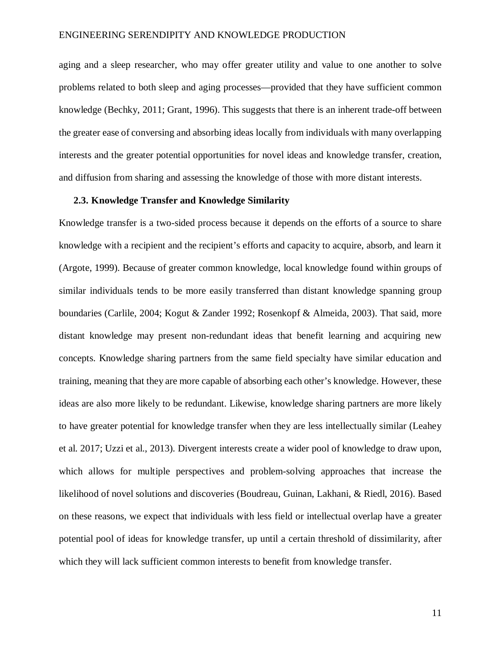aging and a sleep researcher, who may offer greater utility and value to one another to solve problems related to both sleep and aging processes—provided that they have sufficient common knowledge (Bechky, 2011; Grant, 1996). This suggests that there is an inherent trade-off between the greater ease of conversing and absorbing ideas locally from individuals with many overlapping interests and the greater potential opportunities for novel ideas and knowledge transfer, creation, and diffusion from sharing and assessing the knowledge of those with more distant interests.

#### **2.3. Knowledge Transfer and Knowledge Similarity**

Knowledge transfer is a two-sided process because it depends on the efforts of a source to share knowledge with a recipient and the recipient's efforts and capacity to acquire, absorb, and learn it (Argote, 1999). Because of greater common knowledge, local knowledge found within groups of similar individuals tends to be more easily transferred than distant knowledge spanning group boundaries (Carlile, 2004; Kogut & Zander 1992; Rosenkopf & Almeida, 2003). That said, more distant knowledge may present non-redundant ideas that benefit learning and acquiring new concepts. Knowledge sharing partners from the same field specialty have similar education and training, meaning that they are more capable of absorbing each other's knowledge. However, these ideas are also more likely to be redundant. Likewise, knowledge sharing partners are more likely to have greater potential for knowledge transfer when they are less intellectually similar (Leahey et al. 2017; Uzzi et al., 2013). Divergent interests create a wider pool of knowledge to draw upon, which allows for multiple perspectives and problem-solving approaches that increase the likelihood of novel solutions and discoveries (Boudreau, Guinan, Lakhani, & Riedl, 2016). Based on these reasons, we expect that individuals with less field or intellectual overlap have a greater potential pool of ideas for knowledge transfer, up until a certain threshold of dissimilarity, after which they will lack sufficient common interests to benefit from knowledge transfer.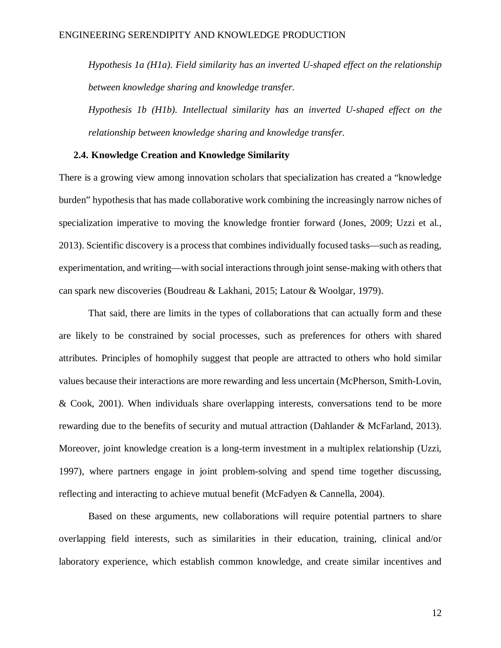*Hypothesis 1a (H1a). Field similarity has an inverted U-shaped effect on the relationship between knowledge sharing and knowledge transfer.*

*Hypothesis 1b (H1b). Intellectual similarity has an inverted U-shaped effect on the relationship between knowledge sharing and knowledge transfer.*

#### **2.4. Knowledge Creation and Knowledge Similarity**

There is a growing view among innovation scholars that specialization has created a "knowledge burden" hypothesis that has made collaborative work combining the increasingly narrow niches of specialization imperative to moving the knowledge frontier forward (Jones, 2009; Uzzi et al., 2013). Scientific discovery is a process that combines individually focused tasks—such as reading, experimentation, and writing—with social interactions through joint sense-making with others that can spark new discoveries (Boudreau & Lakhani, 2015; Latour & Woolgar, 1979).

That said, there are limits in the types of collaborations that can actually form and these are likely to be constrained by social processes, such as preferences for others with shared attributes. Principles of homophily suggest that people are attracted to others who hold similar values because their interactions are more rewarding and less uncertain (McPherson, Smith-Lovin, & Cook, 2001). When individuals share overlapping interests, conversations tend to be more rewarding due to the benefits of security and mutual attraction (Dahlander & McFarland, 2013). Moreover, joint knowledge creation is a long-term investment in a multiplex relationship (Uzzi, 1997), where partners engage in joint problem-solving and spend time together discussing, reflecting and interacting to achieve mutual benefit (McFadyen & Cannella, 2004).

Based on these arguments, new collaborations will require potential partners to share overlapping field interests, such as similarities in their education, training, clinical and/or laboratory experience, which establish common knowledge, and create similar incentives and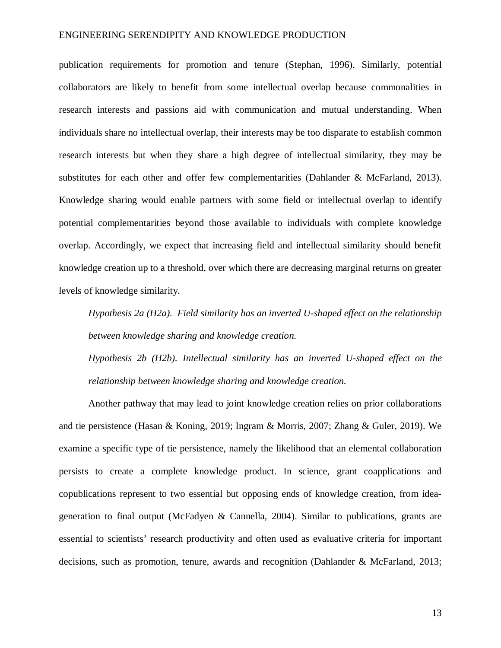publication requirements for promotion and tenure (Stephan, 1996). Similarly, potential collaborators are likely to benefit from some intellectual overlap because commonalities in research interests and passions aid with communication and mutual understanding. When individuals share no intellectual overlap, their interests may be too disparate to establish common research interests but when they share a high degree of intellectual similarity, they may be substitutes for each other and offer few complementarities (Dahlander & McFarland, 2013). Knowledge sharing would enable partners with some field or intellectual overlap to identify potential complementarities beyond those available to individuals with complete knowledge overlap. Accordingly, we expect that increasing field and intellectual similarity should benefit knowledge creation up to a threshold, over which there are decreasing marginal returns on greater levels of knowledge similarity.

*Hypothesis 2a (H2a). Field similarity has an inverted U-shaped effect on the relationship between knowledge sharing and knowledge creation.*

*Hypothesis 2b (H2b). Intellectual similarity has an inverted U-shaped effect on the relationship between knowledge sharing and knowledge creation.*

Another pathway that may lead to joint knowledge creation relies on prior collaborations and tie persistence (Hasan & Koning, 2019; Ingram & Morris, 2007; Zhang & Guler, 2019). We examine a specific type of tie persistence, namely the likelihood that an elemental collaboration persists to create a complete knowledge product. In science, grant coapplications and copublications represent to two essential but opposing ends of knowledge creation, from ideageneration to final output (McFadyen & Cannella, 2004). Similar to publications, grants are essential to scientists' research productivity and often used as evaluative criteria for important decisions, such as promotion, tenure, awards and recognition (Dahlander & McFarland, 2013;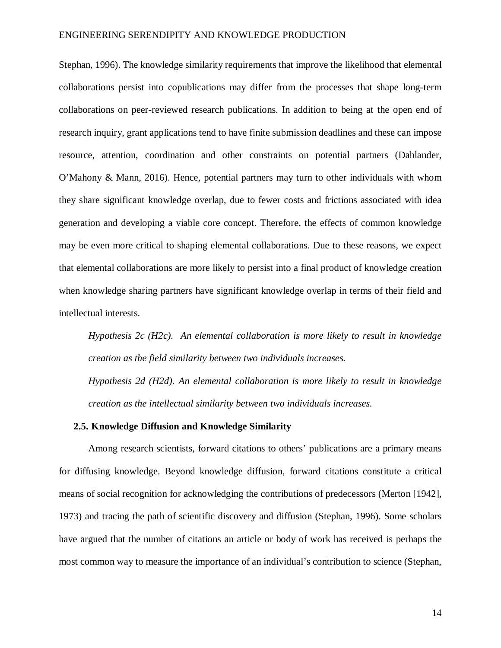Stephan, 1996). The knowledge similarity requirements that improve the likelihood that elemental collaborations persist into copublications may differ from the processes that shape long-term collaborations on peer-reviewed research publications. In addition to being at the open end of research inquiry, grant applications tend to have finite submission deadlines and these can impose resource, attention, coordination and other constraints on potential partners (Dahlander, O'Mahony & Mann, 2016). Hence, potential partners may turn to other individuals with whom they share significant knowledge overlap, due to fewer costs and frictions associated with idea generation and developing a viable core concept. Therefore, the effects of common knowledge may be even more critical to shaping elemental collaborations. Due to these reasons, we expect that elemental collaborations are more likely to persist into a final product of knowledge creation when knowledge sharing partners have significant knowledge overlap in terms of their field and intellectual interests.

*Hypothesis 2c (H2c). An elemental collaboration is more likely to result in knowledge creation as the field similarity between two individuals increases.* 

*Hypothesis 2d (H2d). An elemental collaboration is more likely to result in knowledge creation as the intellectual similarity between two individuals increases.* 

#### **2.5. Knowledge Diffusion and Knowledge Similarity**

Among research scientists, forward citations to others' publications are a primary means for diffusing knowledge. Beyond knowledge diffusion, forward citations constitute a critical means of social recognition for acknowledging the contributions of predecessors (Merton [1942], 1973) and tracing the path of scientific discovery and diffusion (Stephan, 1996). Some scholars have argued that the number of citations an article or body of work has received is perhaps the most common way to measure the importance of an individual's contribution to science (Stephan,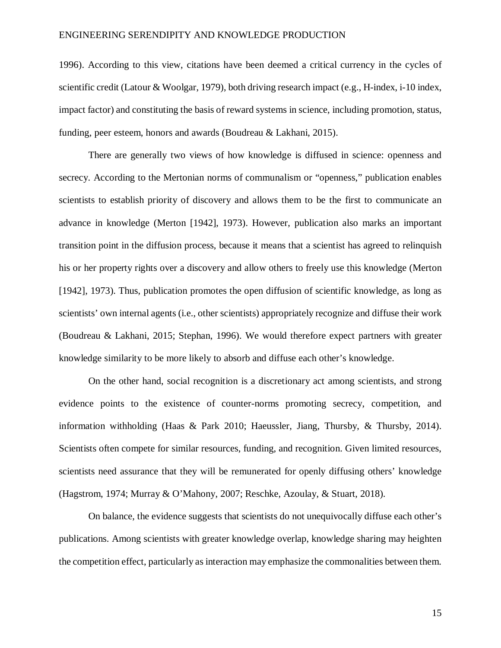1996). According to this view, citations have been deemed a critical currency in the cycles of scientific credit (Latour & Woolgar, 1979), both driving research impact (e.g., H-index, i-10 index, impact factor) and constituting the basis of reward systems in science, including promotion, status, funding, peer esteem, honors and awards (Boudreau & Lakhani, 2015).

There are generally two views of how knowledge is diffused in science: openness and secrecy. According to the Mertonian norms of communalism or "openness," publication enables scientists to establish priority of discovery and allows them to be the first to communicate an advance in knowledge (Merton [1942], 1973). However, publication also marks an important transition point in the diffusion process, because it means that a scientist has agreed to relinquish his or her property rights over a discovery and allow others to freely use this knowledge (Merton [1942], 1973). Thus, publication promotes the open diffusion of scientific knowledge, as long as scientists' own internal agents (i.e., other scientists) appropriately recognize and diffuse their work (Boudreau & Lakhani, 2015; Stephan, 1996). We would therefore expect partners with greater knowledge similarity to be more likely to absorb and diffuse each other's knowledge.

On the other hand, social recognition is a discretionary act among scientists, and strong evidence points to the existence of counter-norms promoting secrecy, competition, and information withholding (Haas & Park 2010; Haeussler, Jiang, Thursby, & Thursby, 2014). Scientists often compete for similar resources, funding, and recognition. Given limited resources, scientists need assurance that they will be remunerated for openly diffusing others' knowledge (Hagstrom, 1974; Murray & O'Mahony, 2007; Reschke, Azoulay, & Stuart, 2018).

On balance, the evidence suggests that scientists do not unequivocally diffuse each other's publications. Among scientists with greater knowledge overlap, knowledge sharing may heighten the competition effect, particularly as interaction may emphasize the commonalities between them.

15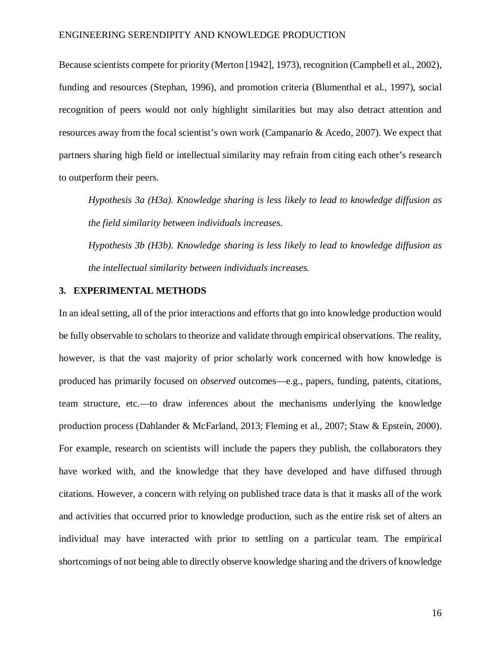Because scientists compete for priority (Merton [1942], 1973), recognition (Campbell et al., 2002), funding and resources (Stephan, 1996), and promotion criteria (Blumenthal et al., 1997), social recognition of peers would not only highlight similarities but may also detract attention and resources away from the focal scientist's own work (Campanario & Acedo, 2007). We expect that partners sharing high field or intellectual similarity may refrain from citing each other's research to outperform their peers.

*Hypothesis 3a (H3a). Knowledge sharing is less likely to lead to knowledge diffusion as the field similarity between individuals increases.*

*Hypothesis 3b (H3b). Knowledge sharing is less likely to lead to knowledge diffusion as the intellectual similarity between individuals increases.*

## **3. EXPERIMENTAL METHODS**

In an ideal setting, all of the prior interactions and efforts that go into knowledge production would be fully observable to scholars to theorize and validate through empirical observations. The reality, however, is that the vast majority of prior scholarly work concerned with how knowledge is produced has primarily focused on *observed* outcomes—e.g., papers, funding, patents, citations, team structure, etc.—to draw inferences about the mechanisms underlying the knowledge production process (Dahlander & McFarland, 2013; Fleming et al., 2007; Staw & Epstein, 2000). For example, research on scientists will include the papers they publish, the collaborators they have worked with, and the knowledge that they have developed and have diffused through citations. However, a concern with relying on published trace data is that it masks all of the work and activities that occurred prior to knowledge production, such as the entire risk set of alters an individual may have interacted with prior to settling on a particular team. The empirical shortcomings of not being able to directly observe knowledge sharing and the drivers of knowledge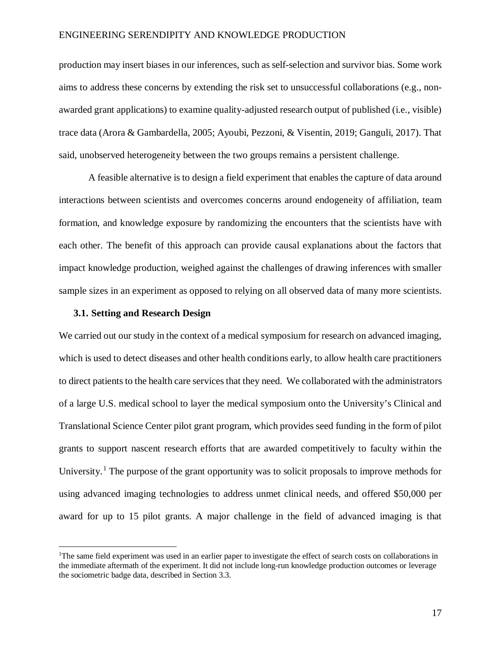production may insert biases in our inferences, such as self-selection and survivor bias. Some work aims to address these concerns by extending the risk set to unsuccessful collaborations (e.g., nonawarded grant applications) to examine quality-adjusted research output of published (i.e., visible) trace data (Arora & Gambardella, 2005; Ayoubi, Pezzoni, & Visentin, 2019; Ganguli, 2017). That said, unobserved heterogeneity between the two groups remains a persistent challenge.

A feasible alternative is to design a field experiment that enables the capture of data around interactions between scientists and overcomes concerns around endogeneity of affiliation, team formation, and knowledge exposure by randomizing the encounters that the scientists have with each other. The benefit of this approach can provide causal explanations about the factors that impact knowledge production, weighed against the challenges of drawing inferences with smaller sample sizes in an experiment as opposed to relying on all observed data of many more scientists.

#### **3.1. Setting and Research Design**

We carried out our study in the context of a medical symposium for research on advanced imaging, which is used to detect diseases and other health conditions early, to allow health care practitioners to direct patients to the health care services that they need. We collaborated with the administrators of a large U.S. medical school to layer the medical symposium onto the University's Clinical and Translational Science Center pilot grant program, which provides seed funding in the form of pilot grants to support nascent research efforts that are awarded competitively to faculty within the University.<sup>[1](#page-18-0)</sup> The purpose of the grant opportunity was to solicit proposals to improve methods for using advanced imaging technologies to address unmet clinical needs, and offered \$50,000 per award for up to 15 pilot grants. A major challenge in the field of advanced imaging is that

<span id="page-18-0"></span> $\frac{1}{1}$ The same field experiment was used in an earlier paper to investigate the effect of search costs on collaborations in the immediate aftermath of the experiment. It did not include long-run knowledge production outcomes or leverage the sociometric badge data, described in Section 3.3.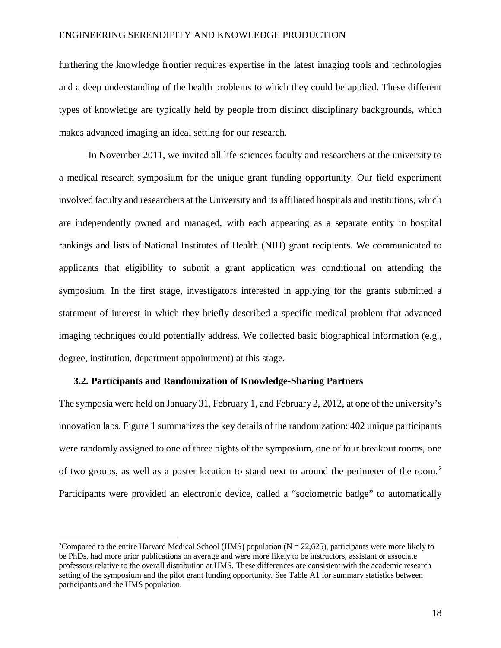furthering the knowledge frontier requires expertise in the latest imaging tools and technologies and a deep understanding of the health problems to which they could be applied. These different types of knowledge are typically held by people from distinct disciplinary backgrounds, which makes advanced imaging an ideal setting for our research.

In November 2011, we invited all life sciences faculty and researchers at the university to a medical research symposium for the unique grant funding opportunity. Our field experiment involved faculty and researchers at the University and its affiliated hospitals and institutions, which are independently owned and managed, with each appearing as a separate entity in hospital rankings and lists of National Institutes of Health (NIH) grant recipients. We communicated to applicants that eligibility to submit a grant application was conditional on attending the symposium. In the first stage, investigators interested in applying for the grants submitted a statement of interest in which they briefly described a specific medical problem that advanced imaging techniques could potentially address. We collected basic biographical information (e.g., degree, institution, department appointment) at this stage.

#### **3.2. Participants and Randomization of Knowledge-Sharing Partners**

The symposia were held on January 31, February 1, and February 2, 2012, at one of the university's innovation labs. Figure 1 summarizes the key details of the randomization: 402 unique participants were randomly assigned to one of three nights of the symposium, one of four breakout rooms, one of two groups, as well as a poster location to stand next to around the perimeter of the room.[2](#page-19-0) Participants were provided an electronic device, called a "sociometric badge" to automatically

<span id="page-19-0"></span> $\frac{1}{2}$ <sup>2</sup>Compared to the entire Harvard Medical School (HMS) population ( $N = 22,625$ ), participants were more likely to be PhDs, had more prior publications on average and were more likely to be instructors, assistant or associate professors relative to the overall distribution at HMS. These differences are consistent with the academic research setting of the symposium and the pilot grant funding opportunity. See Table A1 for summary statistics between participants and the HMS population.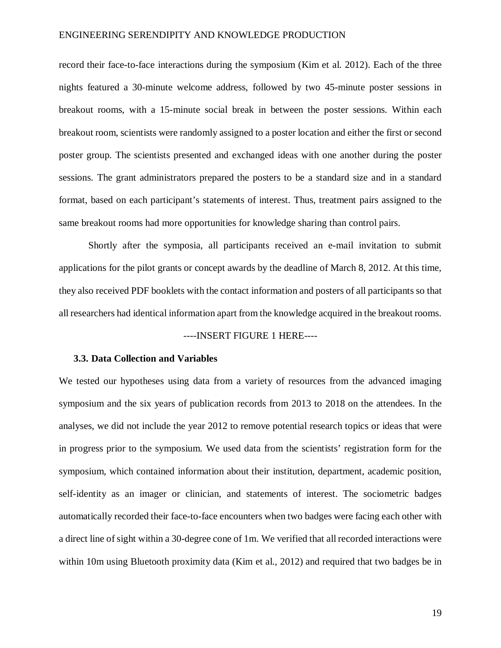record their face-to-face interactions during the symposium (Kim et al. 2012). Each of the three nights featured a 30-minute welcome address, followed by two 45-minute poster sessions in breakout rooms, with a 15-minute social break in between the poster sessions. Within each breakout room, scientists were randomly assigned to a poster location and either the first or second poster group. The scientists presented and exchanged ideas with one another during the poster sessions. The grant administrators prepared the posters to be a standard size and in a standard format, based on each participant's statements of interest. Thus, treatment pairs assigned to the same breakout rooms had more opportunities for knowledge sharing than control pairs.

Shortly after the symposia, all participants received an e-mail invitation to submit applications for the pilot grants or concept awards by the deadline of March 8, 2012. At this time, they also received PDF booklets with the contact information and posters of all participants so that all researchers had identical information apart from the knowledge acquired in the breakout rooms.

#### ----INSERT FIGURE 1 HERE----

#### **3.3. Data Collection and Variables**

We tested our hypotheses using data from a variety of resources from the advanced imaging symposium and the six years of publication records from 2013 to 2018 on the attendees. In the analyses, we did not include the year 2012 to remove potential research topics or ideas that were in progress prior to the symposium. We used data from the scientists' registration form for the symposium, which contained information about their institution, department, academic position, self-identity as an imager or clinician, and statements of interest. The sociometric badges automatically recorded their face-to-face encounters when two badges were facing each other with a direct line of sight within a 30-degree cone of 1m. We verified that all recorded interactions were within 10m using Bluetooth proximity data (Kim et al., 2012) and required that two badges be in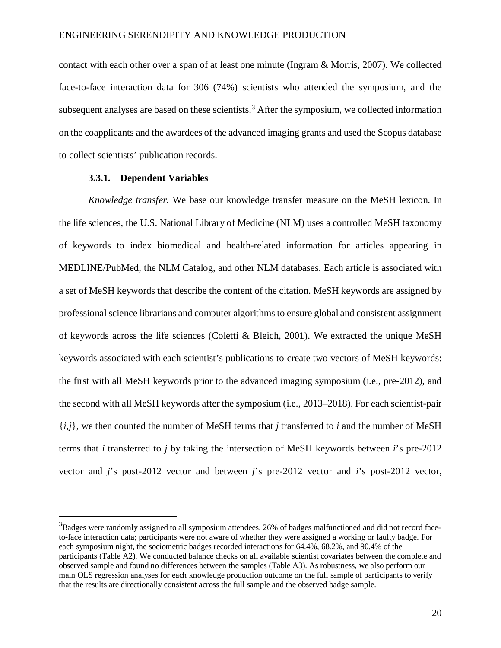contact with each other over a span of at least one minute (Ingram & Morris, 2007). We collected face-to-face interaction data for 306 (74%) scientists who attended the symposium, and the subsequent analyses are based on these scientists.<sup>[3](#page-21-0)</sup> After the symposium, we collected information on the coapplicants and the awardees of the advanced imaging grants and used the Scopus database to collect scientists' publication records.

## **3.3.1. Dependent Variables**

*Knowledge transfer.* We base our knowledge transfer measure on the MeSH lexicon. In the life sciences, the U.S. National Library of Medicine (NLM) uses a controlled MeSH taxonomy of keywords to index biomedical and health-related information for articles appearing in MEDLINE/PubMed, the NLM Catalog, and other NLM databases. Each article is associated with a set of MeSH keywords that describe the content of the citation. MeSH keywords are assigned by professional science librarians and computer algorithmsto ensure global and consistent assignment of keywords across the life sciences (Coletti & Bleich, 2001). We extracted the unique MeSH keywords associated with each scientist's publications to create two vectors of MeSH keywords: the first with all MeSH keywords prior to the advanced imaging symposium (i.e., pre-2012), and the second with all MeSH keywords after the symposium (i.e., 2013–2018). For each scientist-pair {*i*,*j*}, we then counted the number of MeSH terms that *j* transferred to *i* and the number of MeSH terms that *i* transferred to *j* by taking the intersection of MeSH keywords between *i*'s pre-2012 vector and *j*'s post-2012 vector and between *j*'s pre-2012 vector and *i*'s post-2012 vector,

<span id="page-21-0"></span> <sup>3</sup> Badges were randomly assigned to all symposium attendees. 26% of badges malfunctioned and did not record faceto-face interaction data; participants were not aware of whether they were assigned a working or faulty badge. For each symposium night, the sociometric badges recorded interactions for 64.4%, 68.2%, and 90.4% of the participants (Table A2). We conducted balance checks on all available scientist covariates between the complete and observed sample and found no differences between the samples (Table A3). As robustness, we also perform our main OLS regression analyses for each knowledge production outcome on the full sample of participants to verify that the results are directionally consistent across the full sample and the observed badge sample.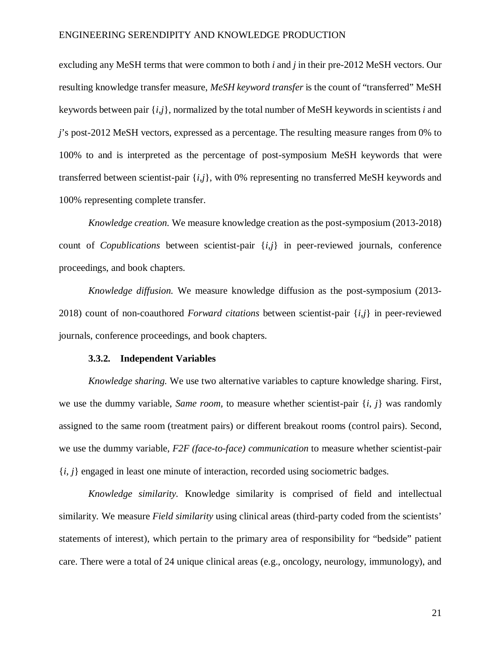excluding any MeSH terms that were common to both *i* and *j* in their pre-2012 MeSH vectors. Our resulting knowledge transfer measure, *MeSH keyword transfer* is the count of "transferred" MeSH keywords between pair {*i*,*j*}, normalized by the total number of MeSH keywords in scientists *i* and *j*'s post-2012 MeSH vectors, expressed as a percentage. The resulting measure ranges from 0% to 100% to and is interpreted as the percentage of post-symposium MeSH keywords that were transferred between scientist-pair {*i*,*j*}, with 0% representing no transferred MeSH keywords and 100% representing complete transfer.

*Knowledge creation.* We measure knowledge creation as the post-symposium (2013-2018) count of *Copublications* between scientist-pair {*i*,*j*} in peer-reviewed journals, conference proceedings, and book chapters.

*Knowledge diffusion.* We measure knowledge diffusion as the post-symposium (2013- 2018) count of non-coauthored *Forward citations* between scientist-pair {*i*,*j*} in peer-reviewed journals, conference proceedings, and book chapters.

#### **3.3.2. Independent Variables**

*Knowledge sharing.* We use two alternative variables to capture knowledge sharing. First, we use the dummy variable, *Same room*, to measure whether scientist-pair  $\{i, j\}$  was randomly assigned to the same room (treatment pairs) or different breakout rooms (control pairs). Second, we use the dummy variable, *F2F (face-to-face) communication* to measure whether scientist-pair  ${i, j}$  engaged in least one minute of interaction, recorded using sociometric badges.

*Knowledge similarity.* Knowledge similarity is comprised of field and intellectual similarity. We measure *Field similarity* using clinical areas (third-party coded from the scientists' statements of interest), which pertain to the primary area of responsibility for "bedside" patient care. There were a total of 24 unique clinical areas (e.g., oncology, neurology, immunology), and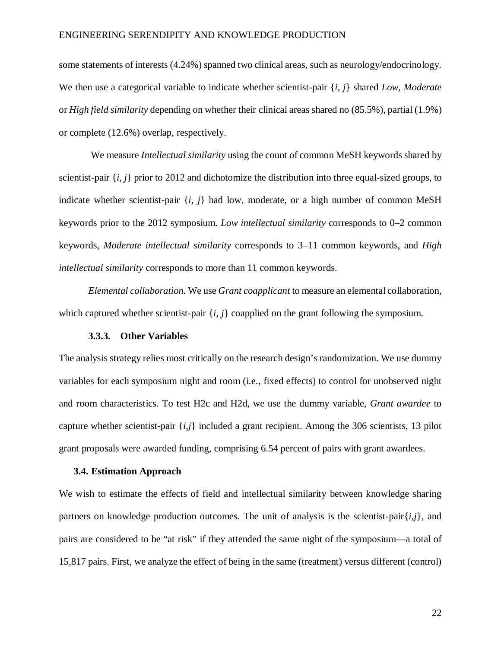some statements of interests (4.24%) spanned two clinical areas, such as neurology/endocrinology. We then use a categorical variable to indicate whether scientist-pair {*i*, *j*} shared *Low*, *Moderate*  or *High field similarity* depending on whether their clinical areas shared no (85.5%), partial (1.9%) or complete (12.6%) overlap, respectively.

We measure *Intellectual similarity* using the count of common MeSH keywords shared by scientist-pair {*i*, *j*} prior to 2012 and dichotomize the distribution into three equal-sized groups, to indicate whether scientist-pair  $\{i, j\}$  had low, moderate, or a high number of common MeSH keywords prior to the 2012 symposium. *Low intellectual similarity* corresponds to 0–2 common keywords, *Moderate intellectual similarity* corresponds to 3–11 common keywords, and *High intellectual similarity* corresponds to more than 11 common keywords.

*Elemental collaboration.* We use *Grant coapplicant* to measure an elemental collaboration, which captured whether scientist-pair  $\{i, j\}$  coapplied on the grant following the symposium.

#### **3.3.3. Other Variables**

The analysis strategy relies most critically on the research design's randomization. We use dummy variables for each symposium night and room (i.e., fixed effects) to control for unobserved night and room characteristics. To test H2c and H2d, we use the dummy variable, *Grant awardee* to capture whether scientist-pair  $\{i,j\}$  included a grant recipient. Among the 306 scientists, 13 pilot grant proposals were awarded funding, comprising 6.54 percent of pairs with grant awardees.

#### **3.4. Estimation Approach**

We wish to estimate the effects of field and intellectual similarity between knowledge sharing partners on knowledge production outcomes. The unit of analysis is the scientist-pair $\{i,j\}$ , and pairs are considered to be "at risk" if they attended the same night of the symposium—a total of 15,817 pairs. First, we analyze the effect of being in the same (treatment) versus different (control)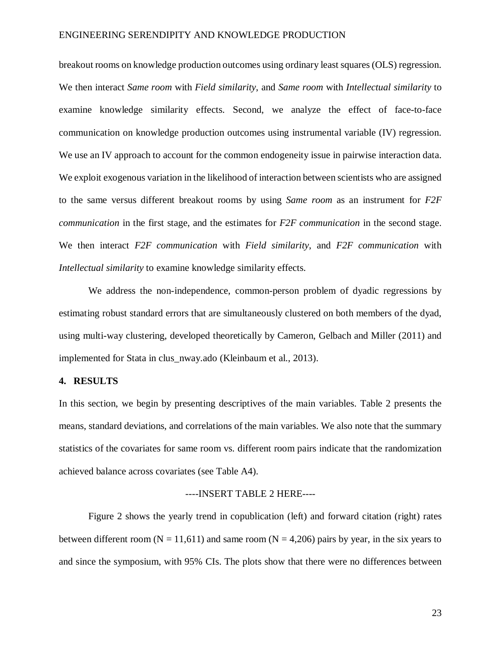breakout rooms on knowledge production outcomes using ordinary least squares (OLS) regression. We then interact *Same room* with *Field similarity*, and *Same room* with *Intellectual similarity* to examine knowledge similarity effects. Second, we analyze the effect of face-to-face communication on knowledge production outcomes using instrumental variable (IV) regression. We use an IV approach to account for the common endogeneity issue in pairwise interaction data. We exploit exogenous variation in the likelihood of interaction between scientists who are assigned to the same versus different breakout rooms by using *Same room* as an instrument for *F2F communication* in the first stage, and the estimates for *F2F communication* in the second stage. We then interact *F2F communication* with *Field similarity*, and *F2F communication* with *Intellectual similarity* to examine knowledge similarity effects.

We address the non-independence, common-person problem of dyadic regressions by estimating robust standard errors that are simultaneously clustered on both members of the dyad, using multi-way clustering, developed theoretically by Cameron, Gelbach and Miller (2011) and implemented for Stata in clus\_nway.ado (Kleinbaum et al., 2013).

## **4. RESULTS**

In this section, we begin by presenting descriptives of the main variables. Table 2 presents the means, standard deviations, and correlations of the main variables. We also note that the summary statistics of the covariates for same room vs. different room pairs indicate that the randomization achieved balance across covariates (see Table A4).

#### ----INSERT TABLE 2 HERE----

Figure 2 shows the yearly trend in copublication (left) and forward citation (right) rates between different room ( $N = 11,611$ ) and same room ( $N = 4,206$ ) pairs by year, in the six years to and since the symposium, with 95% CIs. The plots show that there were no differences between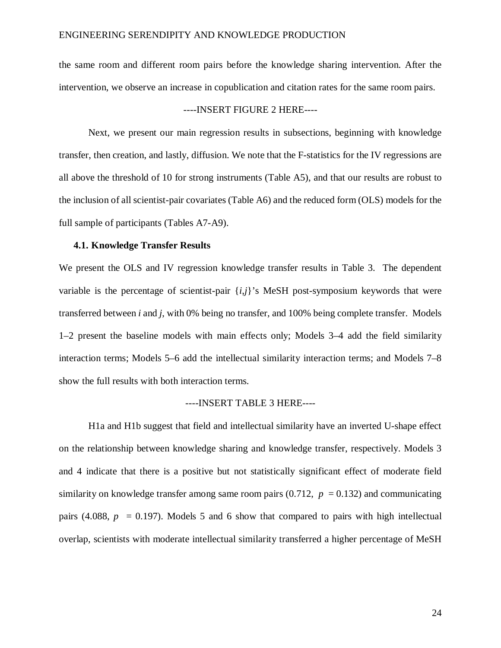the same room and different room pairs before the knowledge sharing intervention. After the intervention, we observe an increase in copublication and citation rates for the same room pairs.

## ----INSERT FIGURE 2 HERE----

Next, we present our main regression results in subsections, beginning with knowledge transfer, then creation, and lastly, diffusion. We note that the F-statistics for the IV regressions are all above the threshold of 10 for strong instruments (Table A5), and that our results are robust to the inclusion of all scientist-pair covariates (Table A6) and the reduced form (OLS) models for the full sample of participants (Tables A7-A9).

#### **4.1. Knowledge Transfer Results**

We present the OLS and IV regression knowledge transfer results in Table 3. The dependent variable is the percentage of scientist-pair {*i*,*j*}'s MeSH post-symposium keywords that were transferred between *i* and *j*, with 0% being no transfer, and 100% being complete transfer. Models 1–2 present the baseline models with main effects only; Models 3–4 add the field similarity interaction terms; Models 5–6 add the intellectual similarity interaction terms; and Models 7–8 show the full results with both interaction terms.

#### ----INSERT TABLE 3 HERE----

H1a and H1b suggest that field and intellectual similarity have an inverted U-shape effect on the relationship between knowledge sharing and knowledge transfer, respectively. Models 3 and 4 indicate that there is a positive but not statistically significant effect of moderate field similarity on knowledge transfer among same room pairs  $(0.712, p = 0.132)$  and communicating pairs (4.088,  $p = 0.197$ ). Models 5 and 6 show that compared to pairs with high intellectual overlap, scientists with moderate intellectual similarity transferred a higher percentage of MeSH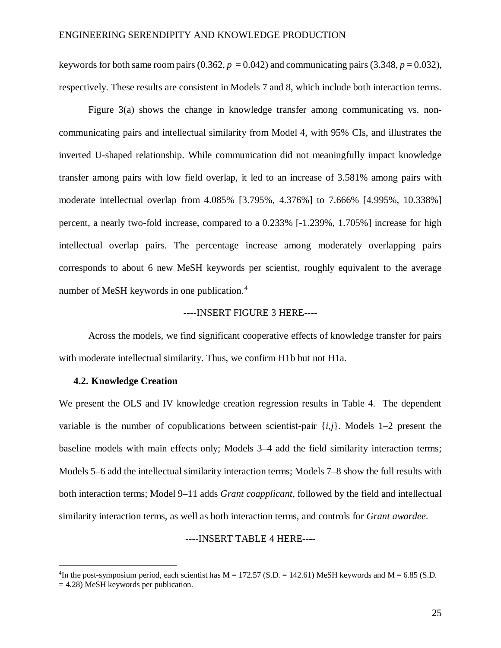keywords for both same room pairs (0.362,  $p = 0.042$ ) and communicating pairs (3.348,  $p = 0.032$ ), respectively. These results are consistent in Models 7 and 8, which include both interaction terms.

Figure 3(a) shows the change in knowledge transfer among communicating vs. noncommunicating pairs and intellectual similarity from Model 4, with 95% CIs, and illustrates the inverted U-shaped relationship. While communication did not meaningfully impact knowledge transfer among pairs with low field overlap, it led to an increase of 3.581% among pairs with moderate intellectual overlap from 4.085% [3.795%, 4.376%] to 7.666% [4.995%, 10.338%] percent, a nearly two-fold increase, compared to a 0.233% [-1.239%, 1.705%] increase for high intellectual overlap pairs. The percentage increase among moderately overlapping pairs corresponds to about 6 new MeSH keywords per scientist, roughly equivalent to the average number of MeSH keywords in one publication. [4](#page-26-0)

## ----INSERT FIGURE 3 HERE----

Across the models, we find significant cooperative effects of knowledge transfer for pairs with moderate intellectual similarity. Thus, we confirm H1b but not H1a.

#### **4.2. Knowledge Creation**

We present the OLS and IV knowledge creation regression results in Table 4. The dependent variable is the number of copublications between scientist-pair  $\{i,j\}$ . Models 1–2 present the baseline models with main effects only; Models 3–4 add the field similarity interaction terms; Models 5–6 add the intellectual similarity interaction terms; Models 7–8 show the full results with both interaction terms; Model 9–11 adds *Grant coapplicant*, followed by the field and intellectual similarity interaction terms, as well as both interaction terms, and controls for *Grant awardee*.

#### ----INSERT TABLE 4 HERE----

<span id="page-26-0"></span> $\frac{1}{4}$ <sup>4</sup>In the post-symposium period, each scientist has  $M = 172.57$  (S.D. = 142.61) MeSH keywords and  $M = 6.85$  (S.D.  $= 4.28$ ) MeSH keywords per publication.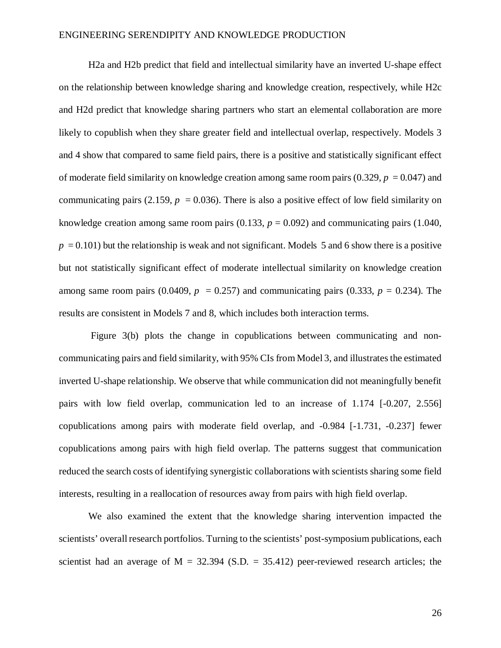H2a and H2b predict that field and intellectual similarity have an inverted U-shape effect on the relationship between knowledge sharing and knowledge creation, respectively, while H2c and H2d predict that knowledge sharing partners who start an elemental collaboration are more likely to copublish when they share greater field and intellectual overlap, respectively. Models 3 and 4 show that compared to same field pairs, there is a positive and statistically significant effect of moderate field similarity on knowledge creation among same room pairs  $(0.329, p = 0.047)$  and communicating pairs (2.159,  $p = 0.036$ ). There is also a positive effect of low field similarity on knowledge creation among same room pairs  $(0.133, p = 0.092)$  and communicating pairs  $(1.040, p = 0.092)$  $p = 0.101$ ) but the relationship is weak and not significant. Models 5 and 6 show there is a positive but not statistically significant effect of moderate intellectual similarity on knowledge creation among same room pairs (0.0409,  $p = 0.257$ ) and communicating pairs (0.333,  $p = 0.234$ ). The results are consistent in Models 7 and 8, which includes both interaction terms.

Figure 3(b) plots the change in copublications between communicating and noncommunicating pairs and field similarity, with 95% CIs from Model 3, and illustrates the estimated inverted U-shape relationship. We observe that while communication did not meaningfully benefit pairs with low field overlap, communication led to an increase of 1.174 [-0.207, 2.556] copublications among pairs with moderate field overlap, and -0.984 [-1.731, -0.237] fewer copublications among pairs with high field overlap. The patterns suggest that communication reduced the search costs of identifying synergistic collaborations with scientists sharing some field interests, resulting in a reallocation of resources away from pairs with high field overlap.

We also examined the extent that the knowledge sharing intervention impacted the scientists' overall research portfolios. Turning to the scientists' post-symposium publications, each scientist had an average of  $M = 32.394$  (S.D. = 35.412) peer-reviewed research articles; the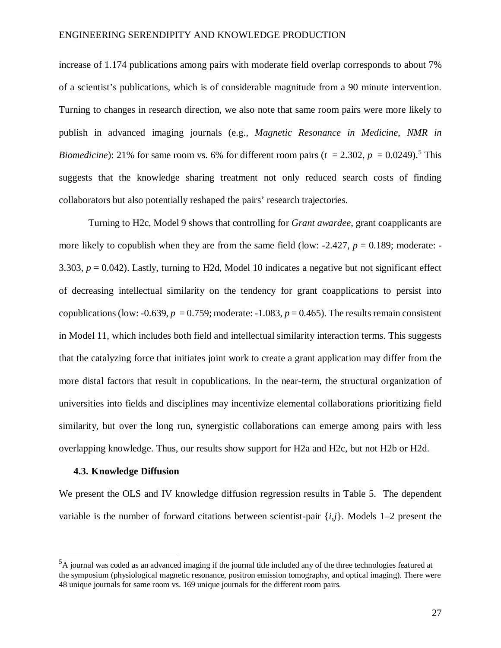increase of 1.174 publications among pairs with moderate field overlap corresponds to about 7% of a scientist's publications, which is of considerable magnitude from a 90 minute intervention. Turning to changes in research direction, we also note that same room pairs were more likely to publish in advanced imaging journals (e.g., *Magnetic Resonance in Medicine*, *NMR in Biomedicine*): 21% for same room vs. 6% for different room pairs ( $t = 2.302$ ,  $p = 0.0249$ ).<sup>[5](#page-28-0)</sup> This suggests that the knowledge sharing treatment not only reduced search costs of finding collaborators but also potentially reshaped the pairs' research trajectories.

Turning to H2c, Model 9 shows that controlling for *Grant awardee*, grant coapplicants are more likely to copublish when they are from the same field (low:  $-2.427$ ,  $p = 0.189$ ; moderate:  $-$ 3.303, *p* = 0.042). Lastly, turning to H2d, Model 10 indicates a negative but not significant effect of decreasing intellectual similarity on the tendency for grant coapplications to persist into copublications (low: -0.639,  $p = 0.759$ ; moderate: -1.083,  $p = 0.465$ ). The results remain consistent in Model 11, which includes both field and intellectual similarity interaction terms. This suggests that the catalyzing force that initiates joint work to create a grant application may differ from the more distal factors that result in copublications. In the near-term, the structural organization of universities into fields and disciplines may incentivize elemental collaborations prioritizing field similarity, but over the long run, synergistic collaborations can emerge among pairs with less overlapping knowledge. Thus, our results show support for H2a and H2c, but not H2b or H2d.

#### **4.3. Knowledge Diffusion**

We present the OLS and IV knowledge diffusion regression results in Table 5. The dependent variable is the number of forward citations between scientist-pair {*i*,*j*}. Models 1–2 present the

<span id="page-28-0"></span> $\frac{1}{5}$  ${}^{5}$ A journal was coded as an advanced imaging if the journal title included any of the three technologies featured at the symposium (physiological magnetic resonance, positron emission tomography, and optical imaging). There were 48 unique journals for same room vs. 169 unique journals for the different room pairs.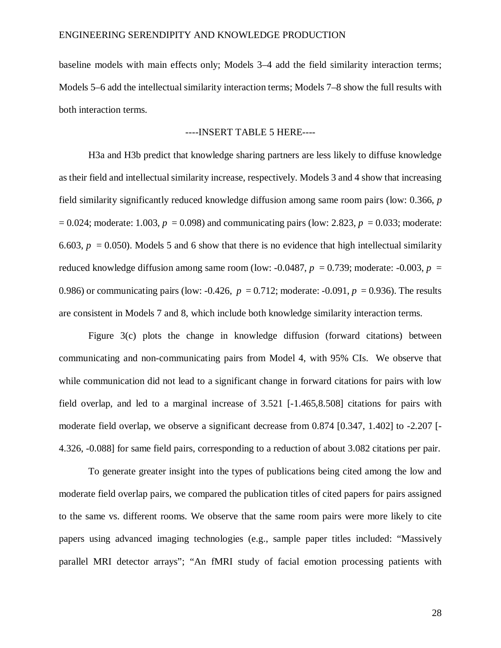baseline models with main effects only; Models 3–4 add the field similarity interaction terms; Models 5–6 add the intellectual similarity interaction terms; Models 7–8 show the full results with both interaction terms.

## ----INSERT TABLE 5 HERE----

H3a and H3b predict that knowledge sharing partners are less likely to diffuse knowledge as their field and intellectual similarity increase, respectively. Models 3 and 4 show that increasing field similarity significantly reduced knowledge diffusion among same room pairs (low: 0.366, *p*   $= 0.024$ ; moderate: 1.003,  $p = 0.098$ ) and communicating pairs (low: 2.823,  $p = 0.033$ ; moderate: 6.603,  $p = 0.050$ ). Models 5 and 6 show that there is no evidence that high intellectual similarity reduced knowledge diffusion among same room (low:  $-0.0487$ ,  $p = 0.739$ ; moderate:  $-0.003$ ,  $p =$ 0.986) or communicating pairs (low: -0.426,  $p = 0.712$ ; moderate: -0.091,  $p = 0.936$ ). The results are consistent in Models 7 and 8, which include both knowledge similarity interaction terms.

Figure 3(c) plots the change in knowledge diffusion (forward citations) between communicating and non-communicating pairs from Model 4, with 95% CIs. We observe that while communication did not lead to a significant change in forward citations for pairs with low field overlap, and led to a marginal increase of 3.521 [-1.465,8.508] citations for pairs with moderate field overlap, we observe a significant decrease from 0.874 [0.347, 1.402] to -2.207 [- 4.326, -0.088] for same field pairs, corresponding to a reduction of about 3.082 citations per pair.

To generate greater insight into the types of publications being cited among the low and moderate field overlap pairs, we compared the publication titles of cited papers for pairs assigned to the same vs. different rooms. We observe that the same room pairs were more likely to cite papers using advanced imaging technologies (e.g., sample paper titles included: "Massively parallel MRI detector arrays"; "An fMRI study of facial emotion processing patients with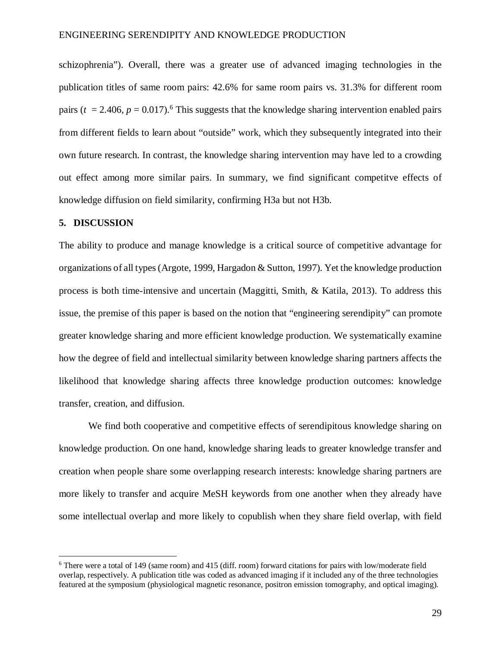schizophrenia"). Overall, there was a greater use of advanced imaging technologies in the publication titles of same room pairs: 42.6% for same room pairs vs. 31.3% for different room pairs ( $t = 2.406$  $t = 2.406$ ,  $p = 0.017$ ).<sup>6</sup> This suggests that the knowledge sharing intervention enabled pairs from different fields to learn about "outside" work, which they subsequently integrated into their own future research. In contrast, the knowledge sharing intervention may have led to a crowding out effect among more similar pairs. In summary, we find significant competitve effects of knowledge diffusion on field similarity, confirming H3a but not H3b.

#### **5. DISCUSSION**

The ability to produce and manage knowledge is a critical source of competitive advantage for organizations of all types(Argote, 1999, Hargadon & Sutton, 1997). Yet the knowledge production process is both time-intensive and uncertain (Maggitti, Smith, & Katila, 2013). To address this issue, the premise of this paper is based on the notion that "engineering serendipity" can promote greater knowledge sharing and more efficient knowledge production. We systematically examine how the degree of field and intellectual similarity between knowledge sharing partners affects the likelihood that knowledge sharing affects three knowledge production outcomes: knowledge transfer, creation, and diffusion.

We find both cooperative and competitive effects of serendipitous knowledge sharing on knowledge production. On one hand, knowledge sharing leads to greater knowledge transfer and creation when people share some overlapping research interests: knowledge sharing partners are more likely to transfer and acquire MeSH keywords from one another when they already have some intellectual overlap and more likely to copublish when they share field overlap, with field

<span id="page-30-0"></span> <sup>6</sup> There were a total of 149 (same room) and 415 (diff. room) forward citations for pairs with low/moderate field overlap, respectively. A publication title was coded as advanced imaging if it included any of the three technologies featured at the symposium (physiological magnetic resonance, positron emission tomography, and optical imaging).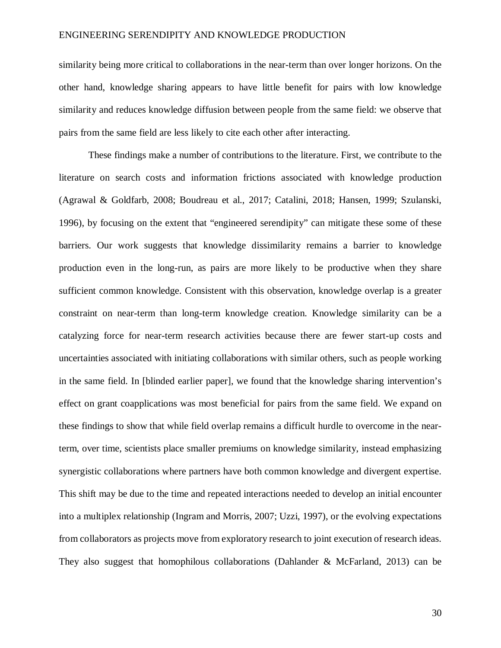similarity being more critical to collaborations in the near-term than over longer horizons. On the other hand, knowledge sharing appears to have little benefit for pairs with low knowledge similarity and reduces knowledge diffusion between people from the same field: we observe that pairs from the same field are less likely to cite each other after interacting.

These findings make a number of contributions to the literature. First, we contribute to the literature on search costs and information frictions associated with knowledge production (Agrawal & Goldfarb, 2008; Boudreau et al., 2017; Catalini, 2018; Hansen, 1999; Szulanski, 1996), by focusing on the extent that "engineered serendipity" can mitigate these some of these barriers. Our work suggests that knowledge dissimilarity remains a barrier to knowledge production even in the long-run, as pairs are more likely to be productive when they share sufficient common knowledge. Consistent with this observation, knowledge overlap is a greater constraint on near-term than long-term knowledge creation. Knowledge similarity can be a catalyzing force for near-term research activities because there are fewer start-up costs and uncertainties associated with initiating collaborations with similar others, such as people working in the same field. In [blinded earlier paper], we found that the knowledge sharing intervention's effect on grant coapplications was most beneficial for pairs from the same field. We expand on these findings to show that while field overlap remains a difficult hurdle to overcome in the nearterm, over time, scientists place smaller premiums on knowledge similarity, instead emphasizing synergistic collaborations where partners have both common knowledge and divergent expertise. This shift may be due to the time and repeated interactions needed to develop an initial encounter into a multiplex relationship (Ingram and Morris, 2007; Uzzi, 1997), or the evolving expectations from collaborators as projects move from exploratory research to joint execution of research ideas. They also suggest that homophilous collaborations (Dahlander & McFarland, 2013) can be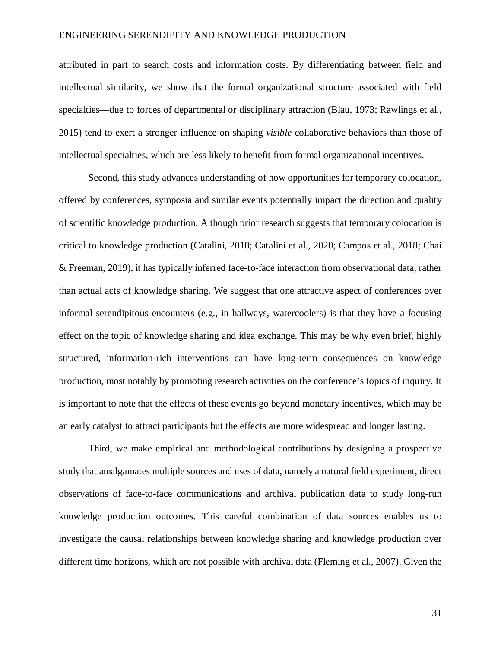attributed in part to search costs and information costs. By differentiating between field and intellectual similarity, we show that the formal organizational structure associated with field specialties—due to forces of departmental or disciplinary attraction (Blau, 1973; Rawlings et al., 2015) tend to exert a stronger influence on shaping *visible* collaborative behaviors than those of intellectual specialties, which are less likely to benefit from formal organizational incentives.

Second, this study advances understanding of how opportunities for temporary colocation, offered by conferences, symposia and similar events potentially impact the direction and quality of scientific knowledge production. Although prior research suggests that temporary colocation is critical to knowledge production (Catalini, 2018; Catalini et al., 2020; Campos et al., 2018; Chai & Freeman, 2019), it has typically inferred face-to-face interaction from observational data, rather than actual acts of knowledge sharing. We suggest that one attractive aspect of conferences over informal serendipitous encounters (e.g., in hallways, watercoolers) is that they have a focusing effect on the topic of knowledge sharing and idea exchange. This may be why even brief, highly structured, information-rich interventions can have long-term consequences on knowledge production, most notably by promoting research activities on the conference's topics of inquiry. It is important to note that the effects of these events go beyond monetary incentives, which may be an early catalyst to attract participants but the effects are more widespread and longer lasting.

Third, we make empirical and methodological contributions by designing a prospective study that amalgamates multiple sources and uses of data, namely a natural field experiment, direct observations of face-to-face communications and archival publication data to study long-run knowledge production outcomes. This careful combination of data sources enables us to investigate the causal relationships between knowledge sharing and knowledge production over different time horizons, which are not possible with archival data (Fleming et al., 2007). Given the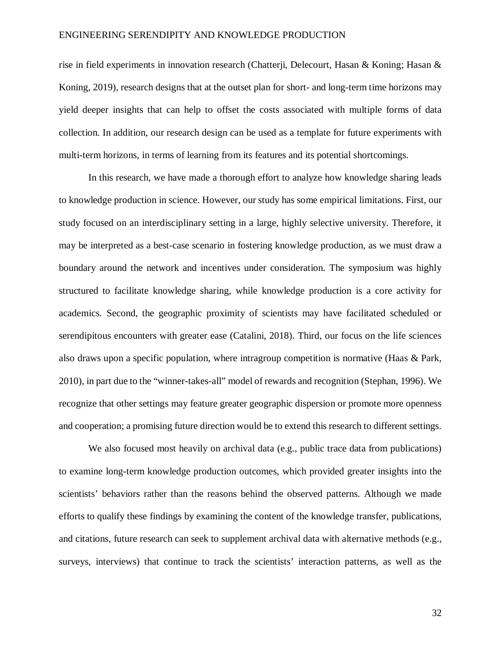rise in field experiments in innovation research (Chatterji, Delecourt, Hasan & Koning; Hasan & Koning, 2019), research designs that at the outset plan for short- and long-term time horizons may yield deeper insights that can help to offset the costs associated with multiple forms of data collection. In addition, our research design can be used as a template for future experiments with multi-term horizons, in terms of learning from its features and its potential shortcomings.

In this research, we have made a thorough effort to analyze how knowledge sharing leads to knowledge production in science. However, our study has some empirical limitations. First, our study focused on an interdisciplinary setting in a large, highly selective university. Therefore, it may be interpreted as a best-case scenario in fostering knowledge production, as we must draw a boundary around the network and incentives under consideration. The symposium was highly structured to facilitate knowledge sharing, while knowledge production is a core activity for academics. Second, the geographic proximity of scientists may have facilitated scheduled or serendipitous encounters with greater ease (Catalini, 2018). Third, our focus on the life sciences also draws upon a specific population, where intragroup competition is normative (Haas & Park, 2010), in part due to the "winner-takes-all" model of rewards and recognition (Stephan, 1996). We recognize that other settings may feature greater geographic dispersion or promote more openness and cooperation; a promising future direction would be to extend this research to different settings.

We also focused most heavily on archival data (e.g., public trace data from publications) to examine long-term knowledge production outcomes, which provided greater insights into the scientists' behaviors rather than the reasons behind the observed patterns. Although we made efforts to qualify these findings by examining the content of the knowledge transfer, publications, and citations, future research can seek to supplement archival data with alternative methods (e.g., surveys, interviews) that continue to track the scientists' interaction patterns, as well as the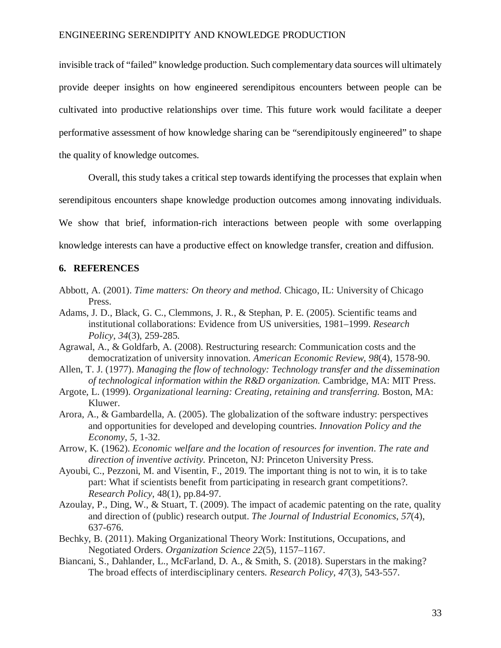invisible track of "failed" knowledge production. Such complementary data sources will ultimately provide deeper insights on how engineered serendipitous encounters between people can be cultivated into productive relationships over time. This future work would facilitate a deeper performative assessment of how knowledge sharing can be "serendipitously engineered" to shape the quality of knowledge outcomes.

Overall, this study takes a critical step towards identifying the processes that explain when

serendipitous encounters shape knowledge production outcomes among innovating individuals.

We show that brief, information-rich interactions between people with some overlapping

knowledge interests can have a productive effect on knowledge transfer, creation and diffusion.

## **6. REFERENCES**

- Abbott, A. (2001). *Time matters: On theory and method.* Chicago, IL: University of Chicago Press.
- Adams, J. D., Black, G. C., Clemmons, J. R., & Stephan, P. E. (2005). Scientific teams and institutional collaborations: Evidence from US universities, 1981–1999. *Research Policy*, *34*(3), 259-285.
- Agrawal, A., & Goldfarb, A. (2008). Restructuring research: Communication costs and the democratization of university innovation. *American Economic Review*, *98*(4), 1578-90.
- Allen, T. J. (1977). *Managing the flow of technology: Technology transfer and the dissemination of technological information within the R&D organization.* Cambridge, MA: MIT Press.
- Argote, L. (1999). *Organizational learning: Creating, retaining and transferring.* Boston, MA: Kluwer.
- Arora, A., & Gambardella, A. (2005). The globalization of the software industry: perspectives and opportunities for developed and developing countries. *Innovation Policy and the Economy*, *5*, 1-32.
- Arrow, K. (1962). *Economic welfare and the location of resources for invention*. *The rate and direction of inventive activity.* Princeton, NJ: Princeton University Press.
- Ayoubi, C., Pezzoni, M. and Visentin, F., 2019. The important thing is not to win, it is to take part: What if scientists benefit from participating in research grant competitions?. *Research Policy*, 48(1), pp.84-97.
- Azoulay, P., Ding, W., & Stuart, T. (2009). The impact of academic patenting on the rate, quality and direction of (public) research output. *The Journal of Industrial Economics*, *57*(4), 637-676.
- Bechky, B. (2011). Making Organizational Theory Work: Institutions, Occupations, and Negotiated Orders. *Organization Science 22*(5), 1157–1167.
- Biancani, S., Dahlander, L., McFarland, D. A., & Smith, S. (2018). Superstars in the making? The broad effects of interdisciplinary centers. *Research Policy*, *47*(3), 543-557.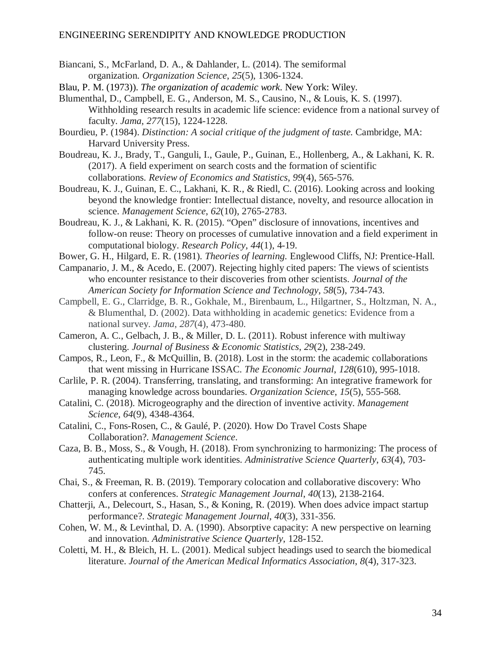- Biancani, S., McFarland, D. A., & Dahlander, L. (2014). The semiformal organization. *Organization Science*, *25*(5), 1306-1324.
- Blau, P. M. (1973)). *The organization of academic work*. New York: Wiley.
- Blumenthal, D., Campbell, E. G., Anderson, M. S., Causino, N., & Louis, K. S. (1997). Withholding research results in academic life science: evidence from a national survey of faculty. *Jama*, *277*(15), 1224-1228.
- Bourdieu, P. (1984). *Distinction: A social critique of the judgment of taste.* Cambridge, MA: Harvard University Press.
- Boudreau, K. J., Brady, T., Ganguli, I., Gaule, P., Guinan, E., Hollenberg, A., & Lakhani, K. R. (2017). A field experiment on search costs and the formation of scientific collaborations. *Review of Economics and Statistics*, *99*(4), 565-576.
- Boudreau, K. J., Guinan, E. C., Lakhani, K. R., & Riedl, C. (2016). Looking across and looking beyond the knowledge frontier: Intellectual distance, novelty, and resource allocation in science. *Management Science*, *62*(10), 2765-2783.
- Boudreau, K. J., & Lakhani, K. R. (2015). "Open" disclosure of innovations, incentives and follow-on reuse: Theory on processes of cumulative innovation and a field experiment in computational biology. *Research Policy*, *44*(1), 4-19.
- Bower, G. H., Hilgard, E. R. (1981). *Theories of learning.* Englewood Cliffs, NJ: Prentice-Hall.
- Campanario, J. M., & Acedo, E. (2007). Rejecting highly cited papers: The views of scientists who encounter resistance to their discoveries from other scientists. *Journal of the American Society for Information Science and Technology*, *58*(5), 734-743.
- Campbell, E. G., Clarridge, B. R., Gokhale, M., Birenbaum, L., Hilgartner, S., Holtzman, N. A., & Blumenthal, D. (2002). Data withholding in academic genetics: Evidence from a national survey. *Jama*, *287*(4), 473-480.
- Cameron, A. C., Gelbach, J. B., & Miller, D. L. (2011). Robust inference with multiway clustering. *Journal of Business & Economic Statistics*, *29*(2), 238-249.
- Campos, R., Leon, F., & McQuillin, B. (2018). Lost in the storm: the academic collaborations that went missing in Hurricane ISSAC. *The Economic Journal*, *128*(610), 995-1018.
- Carlile, P. R. (2004). Transferring, translating, and transforming: An integrative framework for managing knowledge across boundaries. *Organization Science*, *15*(5), 555-568.
- Catalini, C. (2018). Microgeography and the direction of inventive activity. *Management Science*, *64*(9), 4348-4364.
- Catalini, C., Fons-Rosen, C., & Gaulé, P. (2020). How Do Travel Costs Shape Collaboration?. *Management Science*.
- Caza, B. B., Moss, S., & Vough, H. (2018). From synchronizing to harmonizing: The process of authenticating multiple work identities. *Administrative Science Quarterly*, *63*(4), 703- 745.
- Chai, S., & Freeman, R. B. (2019). Temporary colocation and collaborative discovery: Who confers at conferences. *Strategic Management Journal*, *40*(13), 2138-2164.
- Chatterji, A., Delecourt, S., Hasan, S., & Koning, R. (2019). When does advice impact startup performance?. *Strategic Management Journal*, *40*(3), 331-356.
- Cohen, W. M., & Levinthal, D. A. (1990). Absorptive capacity: A new perspective on learning and innovation. *Administrative Science Quarterly*, 128-152.
- Coletti, M. H., & Bleich, H. L. (2001). Medical subject headings used to search the biomedical literature. *Journal of the American Medical Informatics Association*, *8*(4), 317-323.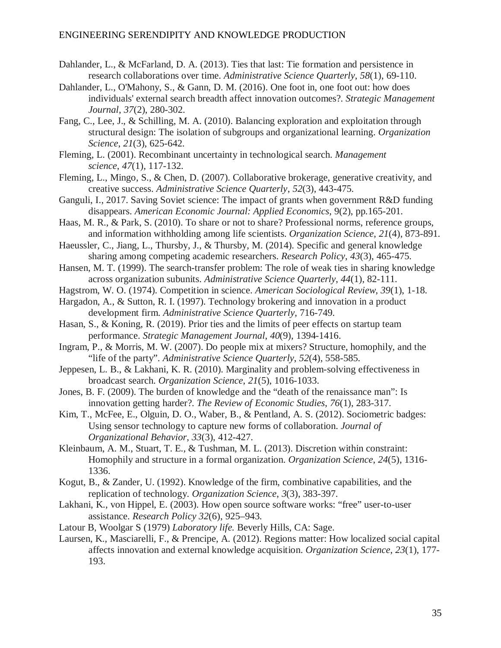- Dahlander, L., & McFarland, D. A. (2013). Ties that last: Tie formation and persistence in research collaborations over time. *Administrative Science Quarterly*, *58*(1), 69-110.
- Dahlander, L., O'Mahony, S., & Gann, D. M. (2016). One foot in, one foot out: how does individuals' external search breadth affect innovation outcomes?. *Strategic Management Journal*, *37*(2), 280-302.
- Fang, C., Lee, J., & Schilling, M. A. (2010). Balancing exploration and exploitation through structural design: The isolation of subgroups and organizational learning. *Organization Science*, *21*(3), 625-642.
- Fleming, L. (2001). Recombinant uncertainty in technological search. *Management science*, *47*(1), 117-132.
- Fleming, L., Mingo, S., & Chen, D. (2007). Collaborative brokerage, generative creativity, and creative success. *Administrative Science Quarterly*, *52*(3), 443-475.
- Ganguli, I., 2017. Saving Soviet science: The impact of grants when government R&D funding disappears. *American Economic Journal: Applied Economics*, 9(2), pp.165-201.
- Haas, M. R., & Park, S. (2010). To share or not to share? Professional norms, reference groups, and information withholding among life scientists. *Organization Science*, *21*(4), 873-891.
- Haeussler, C., Jiang, L., Thursby, J., & Thursby, M. (2014). Specific and general knowledge sharing among competing academic researchers. *Research Policy*, *43*(3), 465-475.
- Hansen, M. T. (1999). The search-transfer problem: The role of weak ties in sharing knowledge across organization subunits. *Administrative Science Quarterly*, *44*(1), 82-111.
- Hagstrom, W. O. (1974). Competition in science. *American Sociological Review*, *39*(1), 1-18.
- Hargadon, A., & Sutton, R. I. (1997). Technology brokering and innovation in a product development firm. *Administrative Science Quarterly*, 716-749.
- Hasan, S., & Koning, R. (2019). Prior ties and the limits of peer effects on startup team performance. *Strategic Management Journal*, *40*(9), 1394-1416.
- Ingram, P., & Morris, M. W. (2007). Do people mix at mixers? Structure, homophily, and the "life of the party". *Administrative Science Quarterly*, *52*(4), 558-585.
- Jeppesen, L. B., & Lakhani, K. R. (2010). Marginality and problem-solving effectiveness in broadcast search. *Organization Science*, *21*(5), 1016-1033.
- Jones, B. F. (2009). The burden of knowledge and the "death of the renaissance man": Is innovation getting harder?. *The Review of Economic Studies*, *76*(1), 283-317.
- Kim, T., McFee, E., Olguin, D. O., Waber, B., & Pentland, A. S. (2012). Sociometric badges: Using sensor technology to capture new forms of collaboration. *Journal of Organizational Behavior*, *33*(3), 412-427.
- Kleinbaum, A. M., Stuart, T. E., & Tushman, M. L. (2013). Discretion within constraint: Homophily and structure in a formal organization. *Organization Science*, *24*(5), 1316- 1336.
- Kogut, B., & Zander, U. (1992). Knowledge of the firm, combinative capabilities, and the replication of technology. *Organization Science*, *3*(3), 383-397.
- Lakhani, K., von Hippel, E. (2003). How open source software works: "free" user-to-user assistance. *Research Policy 32*(6), 925–943.
- Latour B, Woolgar S (1979) *Laboratory life.* Beverly Hills, CA: Sage.
- Laursen, K., Masciarelli, F., & Prencipe, A. (2012). Regions matter: How localized social capital affects innovation and external knowledge acquisition. *Organization Science*, *23*(1), 177- 193.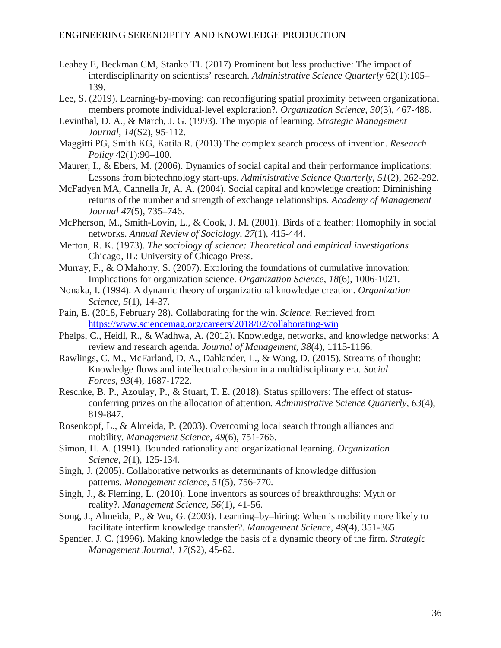- Leahey E, Beckman CM, Stanko TL (2017) Prominent but less productive: The impact of interdisciplinarity on scientists' research. *Administrative Science Quarterly* 62(1):105– 139.
- Lee, S. (2019). Learning-by-moving: can reconfiguring spatial proximity between organizational members promote individual-level exploration?. *Organization Science*, *30*(3), 467-488.
- Levinthal, D. A., & March, J. G. (1993). The myopia of learning. *Strategic Management Journal*, *14*(S2), 95-112.
- Maggitti PG, Smith KG, Katila R. (2013) The complex search process of invention. *Research Policy* 42(1):90–100.
- Maurer, I., & Ebers, M. (2006). Dynamics of social capital and their performance implications: Lessons from biotechnology start-ups. *Administrative Science Quarterly*, *51*(2), 262-292.
- McFadyen MA, Cannella Jr, A. A. (2004). Social capital and knowledge creation: Diminishing returns of the number and strength of exchange relationships. *Academy of Management Journal 47*(5), 735–746.
- McPherson, M., Smith-Lovin, L., & Cook, J. M. (2001). Birds of a feather: Homophily in social networks. *Annual Review of Sociology*, *27*(1), 415-444.
- Merton, R. K. (1973). *The sociology of science: Theoretical and empirical investigations* Chicago, IL: University of Chicago Press.
- Murray, F., & O'Mahony, S. (2007). Exploring the foundations of cumulative innovation: Implications for organization science. *Organization Science*, *18*(6), 1006-1021.
- Nonaka, I. (1994). A dynamic theory of organizational knowledge creation. *Organization Science*, *5*(1), 14-37.
- Pain, E. (2018, February 28). Collaborating for the win. *Science.* Retrieved from <https://www.sciencemag.org/careers/2018/02/collaborating-win>
- Phelps, C., Heidl, R., & Wadhwa, A. (2012). Knowledge, networks, and knowledge networks: A review and research agenda. *Journal of Management*, *38*(4), 1115-1166.
- Rawlings, C. M., McFarland, D. A., Dahlander, L., & Wang, D. (2015). Streams of thought: Knowledge flows and intellectual cohesion in a multidisciplinary era. *Social Forces*, *93*(4), 1687-1722.
- Reschke, B. P., Azoulay, P., & Stuart, T. E. (2018). Status spillovers: The effect of statusconferring prizes on the allocation of attention. *Administrative Science Quarterly*, *63*(4), 819-847.
- Rosenkopf, L., & Almeida, P. (2003). Overcoming local search through alliances and mobility. *Management Science*, *49*(6), 751-766.
- Simon, H. A. (1991). Bounded rationality and organizational learning. *Organization Science*, *2*(1), 125-134.
- Singh, J. (2005). Collaborative networks as determinants of knowledge diffusion patterns. *Management science*, *51*(5), 756-770.
- Singh, J., & Fleming, L. (2010). Lone inventors as sources of breakthroughs: Myth or reality?. *Management Science*, *56*(1), 41-56.
- Song, J., Almeida, P., & Wu, G. (2003). Learning–by–hiring: When is mobility more likely to facilitate interfirm knowledge transfer?. *Management Science*, *49*(4), 351-365.
- Spender, J. C. (1996). Making knowledge the basis of a dynamic theory of the firm. *Strategic Management Journal*, *17*(S2), 45-62.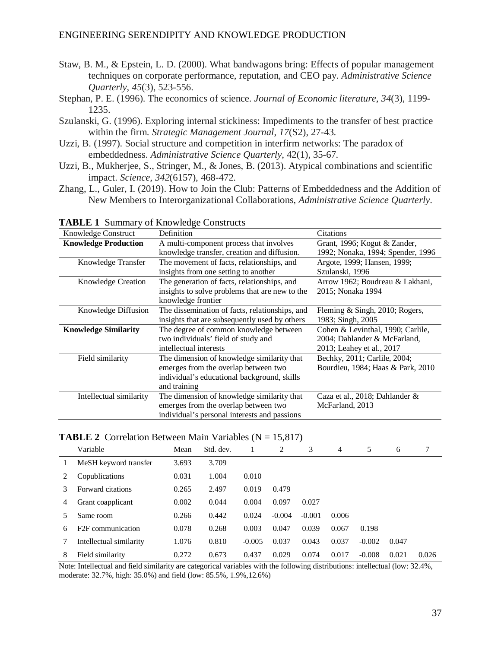- Staw, B. M., & Epstein, L. D. (2000). What bandwagons bring: Effects of popular management techniques on corporate performance, reputation, and CEO pay. *Administrative Science Quarterly*, *45*(3), 523-556.
- Stephan, P. E. (1996). The economics of science. *Journal of Economic literature*, *34*(3), 1199- 1235.
- Szulanski, G. (1996). Exploring internal stickiness: Impediments to the transfer of best practice within the firm. *Strategic Management Journal*, *17*(S2), 27-43.
- Uzzi, B. (1997). Social structure and competition in interfirm networks: The paradox of embeddedness. *Administrative Science Quarterly*, 42(1), 35-67.
- Uzzi, B., Mukherjee, S., Stringer, M., & Jones, B. (2013). Atypical combinations and scientific impact. *Science*, *342*(6157), 468-472.
- Zhang, L., Guler, I. (2019). How to Join the Club: Patterns of Embeddedness and the Addition of New Members to Interorganizational Collaborations, *Administrative Science Quarterly*.

| Knowledge Construct         | Definition                                     | Citations                         |
|-----------------------------|------------------------------------------------|-----------------------------------|
| <b>Knowledge Production</b> | A multi-component process that involves        | Grant, 1996; Kogut & Zander,      |
|                             | knowledge transfer, creation and diffusion.    | 1992; Nonaka, 1994; Spender, 1996 |
| Knowledge Transfer          | The movement of facts, relationships, and      | Argote, 1999; Hansen, 1999;       |
|                             | insights from one setting to another           | Szulanski, 1996                   |
| <b>Knowledge Creation</b>   | The generation of facts, relationships, and    | Arrow 1962; Boudreau & Lakhani,   |
|                             | insights to solve problems that are new to the | 2015; Nonaka 1994                 |
|                             | knowledge frontier                             |                                   |
| Knowledge Diffusion         | The dissemination of facts, relationships, and | Fleming & Singh, 2010; Rogers,    |
|                             | insights that are subsequently used by others  | 1983; Singh, 2005                 |
| <b>Knowledge Similarity</b> | The degree of common knowledge between         | Cohen & Levinthal, 1990; Carlile, |
|                             | two individuals' field of study and            | 2004; Dahlander & McFarland,      |
|                             | intellectual interests                         | 2013; Leahey et al., 2017         |
| Field similarity            | The dimension of knowledge similarity that     | Bechky, 2011; Carlile, 2004;      |
|                             | emerges from the overlap between two           | Bourdieu, 1984; Haas & Park, 2010 |
|                             | individual's educational background, skills    |                                   |
|                             | and training                                   |                                   |
| Intellectual similarity     | The dimension of knowledge similarity that     | Caza et al., 2018; Dahlander &    |
|                             | emerges from the overlap between two           | McFarland, 2013                   |
|                             | individual's personal interests and passions   |                                   |

**TABLE 1** Summary of Knowledge Constructs

## **TABLE 2** Correlation Between Main Variables  $(N = 15,817)$

|   | Variable                      | Mean  | Std. dev. | 1        | 2        | 3        | 4     | 5        | 6     |       |
|---|-------------------------------|-------|-----------|----------|----------|----------|-------|----------|-------|-------|
|   | MeSH keyword transfer         | 3.693 | 3.709     |          |          |          |       |          |       |       |
|   | Copublications                | 0.031 | 1.004     | 0.010    |          |          |       |          |       |       |
|   | Forward citations             | 0.265 | 2.497     | 0.019    | 0.479    |          |       |          |       |       |
| 4 | Grant coapplicant             | 0.002 | 0.044     | 0.004    | 0.097    | 0.027    |       |          |       |       |
|   | Same room                     | 0.266 | 0.442     | 0.024    | $-0.004$ | $-0.001$ | 0.006 |          |       |       |
| 6 | F <sub>2F</sub> communication | 0.078 | 0.268     | 0.003    | 0.047    | 0.039    | 0.067 | 0.198    |       |       |
|   | Intellectual similarity       | 1.076 | 0.810     | $-0.005$ | 0.037    | 0.043    | 0.037 | $-0.002$ | 0.047 |       |
| 8 | Field similarity              | 0.272 | 0.673     | 0.437    | 0.029    | 0.074    | 0.017 | $-0.008$ | 0.021 | 0.026 |

Note: Intellectual and field similarity are categorical variables with the following distributions: intellectual (low: 32.4%, moderate: 32.7%, high: 35.0%) and field (low: 85.5%, 1.9%,12.6%)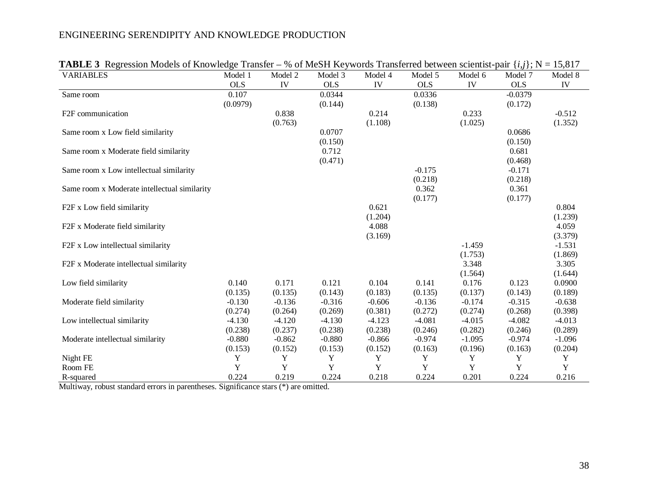| <b>VARIABLES</b>                             | Model 1    | Model 2  | Model 3    | Model 4  | Model 5    | Model 6  | Model 7    | Model 8  |
|----------------------------------------------|------------|----------|------------|----------|------------|----------|------------|----------|
|                                              | <b>OLS</b> | IV       | <b>OLS</b> | IV       | <b>OLS</b> | IV       | <b>OLS</b> | IV       |
| Same room                                    | 0.107      |          | 0.0344     |          | 0.0336     |          | $-0.0379$  |          |
|                                              | (0.0979)   |          | (0.144)    |          | (0.138)    |          | (0.172)    |          |
| F <sub>2F</sub> communication                |            | 0.838    |            | 0.214    |            | 0.233    |            | $-0.512$ |
|                                              |            | (0.763)  |            | (1.108)  |            | (1.025)  |            | (1.352)  |
| Same room x Low field similarity             |            |          | 0.0707     |          |            |          | 0.0686     |          |
|                                              |            |          | (0.150)    |          |            |          | (0.150)    |          |
| Same room x Moderate field similarity        |            |          | 0.712      |          |            |          | 0.681      |          |
|                                              |            |          | (0.471)    |          |            |          | (0.468)    |          |
| Same room x Low intellectual similarity      |            |          |            |          | $-0.175$   |          | $-0.171$   |          |
|                                              |            |          |            |          | (0.218)    |          | (0.218)    |          |
| Same room x Moderate intellectual similarity |            |          |            |          | 0.362      |          | 0.361      |          |
|                                              |            |          |            |          | (0.177)    |          | (0.177)    |          |
| F2F x Low field similarity                   |            |          |            | 0.621    |            |          |            | 0.804    |
|                                              |            |          |            | (1.204)  |            |          |            | (1.239)  |
| F2F x Moderate field similarity              |            |          |            | 4.088    |            |          |            | 4.059    |
|                                              |            |          |            | (3.169)  |            |          |            | (3.379)  |
| F2F x Low intellectual similarity            |            |          |            |          |            | $-1.459$ |            | $-1.531$ |
|                                              |            |          |            |          |            | (1.753)  |            | (1.869)  |
| F2F x Moderate intellectual similarity       |            |          |            |          |            | 3.348    |            | 3.305    |
|                                              |            |          |            |          |            | (1.564)  |            | (1.644)  |
| Low field similarity                         | 0.140      | 0.171    | 0.121      | 0.104    | 0.141      | 0.176    | 0.123      | 0.0900   |
|                                              | (0.135)    | (0.135)  | (0.143)    | (0.183)  | (0.135)    | (0.137)  | (0.143)    | (0.189)  |
| Moderate field similarity                    | $-0.130$   | $-0.136$ | $-0.316$   | $-0.606$ | $-0.136$   | $-0.174$ | $-0.315$   | $-0.638$ |
|                                              | (0.274)    | (0.264)  | (0.269)    | (0.381)  | (0.272)    | (0.274)  | (0.268)    | (0.398)  |
| Low intellectual similarity                  | $-4.130$   | $-4.120$ | $-4.130$   | $-4.123$ | $-4.081$   | $-4.015$ | $-4.082$   | $-4.013$ |
|                                              | (0.238)    | (0.237)  | (0.238)    | (0.238)  | (0.246)    | (0.282)  | (0.246)    | (0.289)  |
| Moderate intellectual similarity             | $-0.880$   | $-0.862$ | $-0.880$   | $-0.866$ | $-0.974$   | $-1.095$ | $-0.974$   | $-1.096$ |
|                                              | (0.153)    | (0.152)  | (0.153)    | (0.152)  | (0.163)    | (0.196)  | (0.163)    | (0.204)  |
| Night FE                                     | Y          | Y        | Y          | Y        | Y          | Y        | Y          | Y        |
| Room FE                                      | Y          | Y        | Y          | Y        | Y          | Y        | Y          | Y        |
| R-squared                                    | 0.224      | 0.219    | 0.224      | 0.218    | 0.224      | 0.201    | 0.224      | 0.216    |

**TABLE 3** Regression Models of Knowledge Transfer – % of MeSH Keywords Transferred between scientist-pair  $\{i, j\}$ ; N = 15,817

Multiway, robust standard errors in parentheses. Significance stars (\*) are omitted.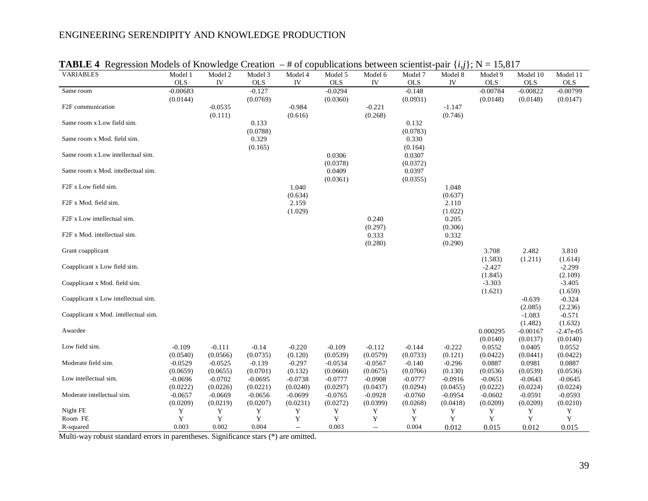| VARIABLES                            | ັ້ນ<br>Model 1 | Model 2    | --------<br>Model 3 | .<br>Model 4 | .<br>Model 5 | Model 6                   | .<br>Model 7      | .<br>Model 8 | . .<br>10,011<br>Model 9 | Model 10               | Model 11                |
|--------------------------------------|----------------|------------|---------------------|--------------|--------------|---------------------------|-------------------|--------------|--------------------------|------------------------|-------------------------|
|                                      | $_{\rm OLS}$   | ${\rm IV}$ | <b>OLS</b>          | ${\rm IV}$   | $_{\rm OLS}$ | IV                        | $_{\rm OLS}$      | IV           | $_{\rm OLS}$             | $_{\rm OLS}$           | <b>OLS</b>              |
| Same room                            | $-0.00683$     |            | $-0.127$            |              | $-0.0294$    |                           | $-0.148$          |              | $-0.00784$               | $-0.00822$             | $-0.00799$              |
|                                      | (0.0144)       |            | (0.0769)            |              | (0.0360)     |                           | (0.0931)          |              | (0.0148)                 | (0.0148)               | (0.0147)                |
| F2F communication                    |                | $-0.0535$  |                     | $-0.984$     |              | $-0.221$                  |                   | $-1.147$     |                          |                        |                         |
|                                      |                | (0.111)    |                     | (0.616)      |              | (0.268)                   |                   | (0.746)      |                          |                        |                         |
| Same room x Low field sim.           |                |            | 0.133               |              |              |                           | 0.132             |              |                          |                        |                         |
|                                      |                |            | (0.0788)            |              |              |                           | (0.0783)          |              |                          |                        |                         |
| Same room x Mod. field sim.          |                |            | 0.329               |              |              |                           | 0.330             |              |                          |                        |                         |
| Same room x Low intellectual sim.    |                |            | (0.165)             |              | 0.0306       |                           | (0.164)<br>0.0307 |              |                          |                        |                         |
|                                      |                |            |                     |              | (0.0378)     |                           | (0.0372)          |              |                          |                        |                         |
| Same room x Mod. intellectual sim.   |                |            |                     |              | 0.0409       |                           | 0.0397            |              |                          |                        |                         |
|                                      |                |            |                     |              | (0.0361)     |                           | (0.0355)          |              |                          |                        |                         |
| F2F x Low field sim.                 |                |            |                     | 1.040        |              |                           |                   | 1.048        |                          |                        |                         |
|                                      |                |            |                     | (0.634)      |              |                           |                   | (0.637)      |                          |                        |                         |
| F2F x Mod. field sim.                |                |            |                     | 2.159        |              |                           |                   | 2.110        |                          |                        |                         |
|                                      |                |            |                     | (1.029)      |              |                           |                   | (1.022)      |                          |                        |                         |
| F2F x Low intellectual sim.          |                |            |                     |              |              | 0.240                     |                   | 0.205        |                          |                        |                         |
|                                      |                |            |                     |              |              | (0.297)                   |                   | (0.306)      |                          |                        |                         |
| F2F x Mod. intellectual sim.         |                |            |                     |              |              | 0.333                     |                   | 0.332        |                          |                        |                         |
| Grant coapplicant                    |                |            |                     |              |              | (0.280)                   |                   | (0.290)      | 3.708                    | 2.482                  | 3.810                   |
|                                      |                |            |                     |              |              |                           |                   |              | (1.583)                  | (1.211)                | (1.614)                 |
| Coapplicant x Low field sim.         |                |            |                     |              |              |                           |                   |              | $-2.427$                 |                        | $-2.299$                |
|                                      |                |            |                     |              |              |                           |                   |              | (1.845)                  |                        | (2.109)                 |
| Coapplicant x Mod. field sim.        |                |            |                     |              |              |                           |                   |              | $-3.303$                 |                        | $-3.405$                |
|                                      |                |            |                     |              |              |                           |                   |              | (1.621)                  |                        | (1.659)                 |
| Coapplicant x Low intellectual sim.  |                |            |                     |              |              |                           |                   |              |                          | $-0.639$               | $-0.324$                |
|                                      |                |            |                     |              |              |                           |                   |              |                          | (2.085)                | (2.236)                 |
| Coapplicant x Mod. intellectual sim. |                |            |                     |              |              |                           |                   |              |                          | $-1.083$               | $-0.571$                |
|                                      |                |            |                     |              |              |                           |                   |              |                          | (1.482)                | (1.632)                 |
| Awardee                              |                |            |                     |              |              |                           |                   |              | 0.000295<br>(0.0140)     | $-0.00167$<br>(0.0137) | $-2.47e-05$<br>(0.0140) |
| Low field sim.                       | $-0.109$       | $-0.111$   | $-0.14$             | $-0.220$     | $-0.109$     | $-0.112$                  | $-0.144$          | $-0.222$     | 0.0552                   | 0.0405                 | 0.0552                  |
|                                      | (0.0540)       | (0.0566)   | (0.0735)            | (0.120)      | (0.0539)     | (0.0579)                  | (0.0733)          | (0.121)      | (0.0422)                 | (0.0441)               | (0.0422)                |
| Moderate field sim.                  | $-0.0529$      | $-0.0525$  | $-0.139$            | $-0.297$     | $-0.0534$    | $-0.0567$                 | $-0.140$          | $-0.296$     | 0.0887                   | 0.0981                 | 0.0887                  |
|                                      | (0.0659)       | (0.0655)   | (0.0701)            | (0.132)      | (0.0660)     | (0.0675)                  | (0.0706)          | (0.130)      | (0.0536)                 | (0.0539)               | (0.0536)                |
| Low intellectual sim.                | $-0.0696$      | $-0.0702$  | $-0.0695$           | $-0.0738$    | $-0.0777$    | $-0.0908$                 | $-0.0777$         | $-0.0916$    | $-0.0651$                | $-0.0643$              | $-0.0645$               |
|                                      | (0.0222)       | (0.0226)   | (0.0221)            | (0.0240)     | (0.0297)     | (0.0437)                  | (0.0294)          | (0.0455)     | (0.0222)                 | (0.0224)               | (0.0224)                |
| Moderate intellectual sim.           | $-0.0657$      | $-0.0669$  | $-0.0656$           | $-0.0699$    | $-0.0765$    | $-0.0928$                 | $-0.0760$         | $-0.0954$    | $-0.0602$                | $-0.0591$              | $-0.0593$               |
|                                      | (0.0209)       | (0.0219)   | (0.0207)            | (0.0231)     | (0.0272)     | (0.0399)                  | (0.0268)          | (0.0418)     | (0.0209)                 | (0.0209)               | (0.0210)                |
| Night FE                             | Y              | Y          | Y                   | Y            | Y            | Y                         | Y                 | Y            | Y                        | Y                      | Y                       |
| Room FE                              | Y              | Y          | Y                   | Y            | Y            | Y                         | Y                 | Y            | Y                        | Y                      | Y                       |
| R-squared                            | 0.003          | 0.002      | 0.004               | Ξ.           | 0.003        | $\mathbb{H}^{\mathbb{H}}$ | 0.004             | 0.012        | 0.015                    | 0.012                  | 0.015                   |

|  |  | <b>TABLE 4</b> Regression Models of Knowledge Creation $-$ # of copublications between scientist-pair $\{i,j\}$ ; N = 15,817 |
|--|--|------------------------------------------------------------------------------------------------------------------------------|
|  |  |                                                                                                                              |

Multi-way robust standard errors in parentheses. Significance stars (\*) are omitted.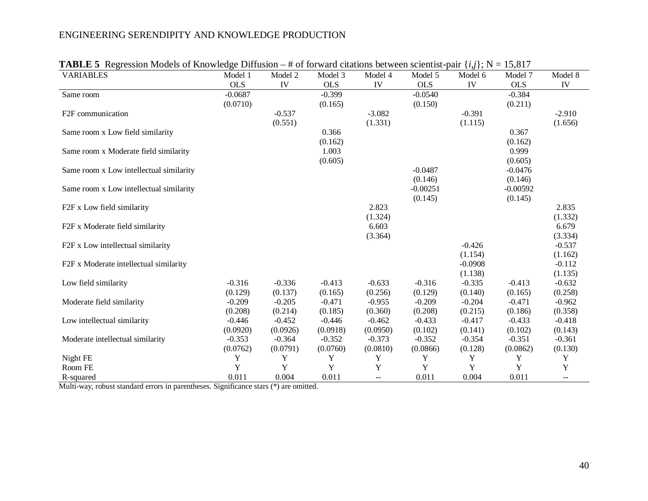| $\mathbf{R}$ and $\mathbf{C}$ and $\mathbf{C}$ are not to $\mathbf{C}$ and $\mathbf{C}$ and $\mathbf{C}$ and $\mathbf{C}$ are not to $\mathbf{C}$<br><b>VARIABLES</b> | Model 1    | Model 2  | Model 3    | <i>n</i> of forward chamons between scientist pair<br>Model 4 | Model 5    | Model 6   | $(v_2)$ $v_3$ $v_1$ $v_2$ $v_3$ $v_1$ $v_2$<br>Model 7 | Model 8  |
|-----------------------------------------------------------------------------------------------------------------------------------------------------------------------|------------|----------|------------|---------------------------------------------------------------|------------|-----------|--------------------------------------------------------|----------|
|                                                                                                                                                                       | <b>OLS</b> | IV       | <b>OLS</b> | IV                                                            | <b>OLS</b> | IV        | <b>OLS</b>                                             | IV       |
| Same room                                                                                                                                                             | $-0.0687$  |          | $-0.399$   |                                                               | $-0.0540$  |           | $-0.384$                                               |          |
|                                                                                                                                                                       | (0.0710)   |          | (0.165)    |                                                               | (0.150)    |           | (0.211)                                                |          |
| F <sub>2F</sub> communication                                                                                                                                         |            | $-0.537$ |            | $-3.082$                                                      |            | $-0.391$  |                                                        | $-2.910$ |
|                                                                                                                                                                       |            | (0.551)  |            | (1.331)                                                       |            | (1.115)   |                                                        | (1.656)  |
| Same room x Low field similarity                                                                                                                                      |            |          | 0.366      |                                                               |            |           | 0.367                                                  |          |
|                                                                                                                                                                       |            |          | (0.162)    |                                                               |            |           | (0.162)                                                |          |
| Same room x Moderate field similarity                                                                                                                                 |            |          | 1.003      |                                                               |            |           | 0.999                                                  |          |
|                                                                                                                                                                       |            |          | (0.605)    |                                                               |            |           | (0.605)                                                |          |
| Same room x Low intellectual similarity                                                                                                                               |            |          |            |                                                               | $-0.0487$  |           | $-0.0476$                                              |          |
|                                                                                                                                                                       |            |          |            |                                                               | (0.146)    |           | (0.146)                                                |          |
| Same room x Low intellectual similarity                                                                                                                               |            |          |            |                                                               | $-0.00251$ |           | $-0.00592$                                             |          |
|                                                                                                                                                                       |            |          |            |                                                               | (0.145)    |           | (0.145)                                                |          |
| F2F x Low field similarity                                                                                                                                            |            |          |            | 2.823                                                         |            |           |                                                        | 2.835    |
|                                                                                                                                                                       |            |          |            | (1.324)                                                       |            |           |                                                        | (1.332)  |
| F2F x Moderate field similarity                                                                                                                                       |            |          |            | 6.603                                                         |            |           |                                                        | 6.679    |
|                                                                                                                                                                       |            |          |            | (3.364)                                                       |            |           |                                                        | (3.334)  |
| F2F x Low intellectual similarity                                                                                                                                     |            |          |            |                                                               |            | $-0.426$  |                                                        | $-0.537$ |
|                                                                                                                                                                       |            |          |            |                                                               |            | (1.154)   |                                                        | (1.162)  |
| F2F x Moderate intellectual similarity                                                                                                                                |            |          |            |                                                               |            | $-0.0908$ |                                                        | $-0.112$ |
|                                                                                                                                                                       |            |          |            |                                                               |            | (1.138)   |                                                        | (1.135)  |
| Low field similarity                                                                                                                                                  | $-0.316$   | $-0.336$ | $-0.413$   | $-0.633$                                                      | $-0.316$   | $-0.335$  | $-0.413$                                               | $-0.632$ |
|                                                                                                                                                                       | (0.129)    | (0.137)  | (0.165)    | (0.256)                                                       | (0.129)    | (0.140)   | (0.165)                                                | (0.258)  |
| Moderate field similarity                                                                                                                                             | $-0.209$   | $-0.205$ | $-0.471$   | $-0.955$                                                      | $-0.209$   | $-0.204$  | $-0.471$                                               | $-0.962$ |
|                                                                                                                                                                       | (0.208)    | (0.214)  | (0.185)    | (0.360)                                                       | (0.208)    | (0.215)   | (0.186)                                                | (0.358)  |
| Low intellectual similarity                                                                                                                                           | $-0.446$   | $-0.452$ | $-0.446$   | $-0.462$                                                      | $-0.433$   | $-0.417$  | $-0.433$                                               | $-0.418$ |
|                                                                                                                                                                       | (0.0920)   | (0.0926) | (0.0918)   | (0.0950)                                                      | (0.102)    | (0.141)   | (0.102)                                                | (0.143)  |
| Moderate intellectual similarity                                                                                                                                      | $-0.353$   | $-0.364$ | $-0.352$   | $-0.373$                                                      | $-0.352$   | $-0.354$  | $-0.351$                                               | $-0.361$ |
|                                                                                                                                                                       | (0.0762)   | (0.0791) | (0.0760)   | (0.0810)                                                      | (0.0866)   | (0.128)   | (0.0862)                                               | (0.130)  |
| Night FE                                                                                                                                                              | Y          | Y        | Y          | Y                                                             | Y          | Y         | Y                                                      | Y        |
| Room FE                                                                                                                                                               | Y          | Y        | Y          | Y                                                             | Y          | Y         | Y                                                      | Y        |
| R-squared                                                                                                                                                             | 0.011      | 0.004    | 0.011      | $\mathord{\hspace{1pt}\text{--}\hspace{1pt}}$                 | 0.011      | 0.004     | 0.011                                                  | $- -$    |

|  | <b>TABLE 5</b> Regression Models of Knowledge Diffusion – # of forward citations between scientist-pair $\{i,j\}$ ; N = 15,817 |  |  |  |  |
|--|--------------------------------------------------------------------------------------------------------------------------------|--|--|--|--|
|  |                                                                                                                                |  |  |  |  |

Multi-way, robust standard errors in parentheses. Significance stars (\*) are omitted.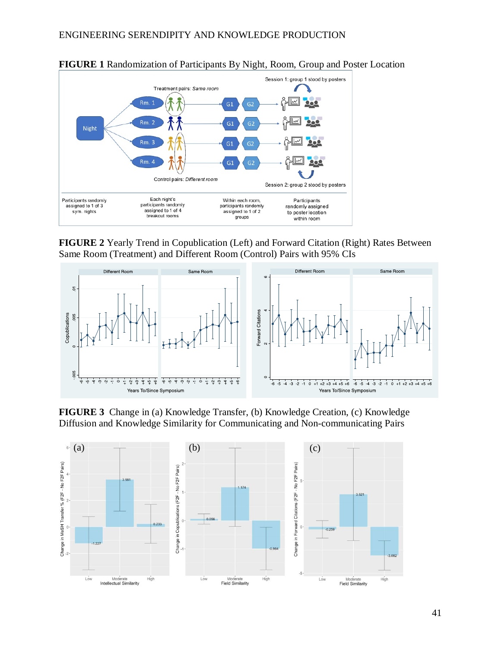

**FIGURE 1** Randomization of Participants By Night, Room, Group and Poster Location

**FIGURE 2** Yearly Trend in Copublication (Left) and Forward Citation (Right) Rates Between Same Room (Treatment) and Different Room (Control) Pairs with 95% CIs



**FIGURE 3** Change in (a) Knowledge Transfer, (b) Knowledge Creation, (c) Knowledge Diffusion and Knowledge Similarity for Communicating and Non-communicating Pairs

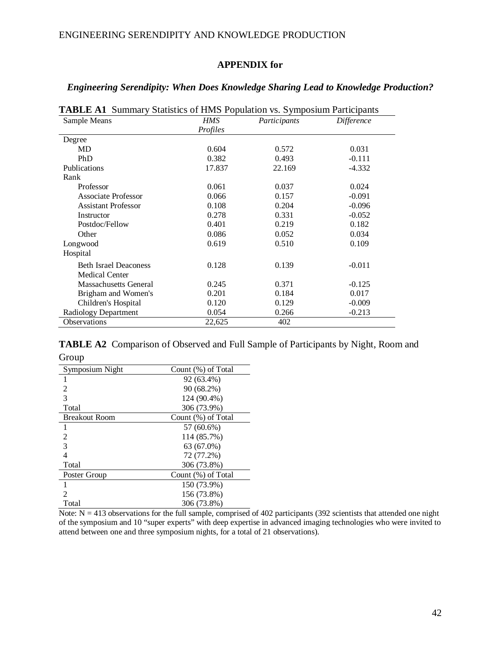# **APPENDIX for**

| Sample Means                                          | <b>HMS</b> | Participants | Difference |
|-------------------------------------------------------|------------|--------------|------------|
|                                                       | Profiles   |              |            |
| Degree                                                |            |              |            |
| MD                                                    | 0.604      | 0.572        | 0.031      |
| PhD                                                   | 0.382      | 0.493        | $-0.111$   |
| Publications                                          | 17.837     | 22.169       | $-4.332$   |
| Rank                                                  |            |              |            |
| Professor                                             | 0.061      | 0.037        | 0.024      |
| Associate Professor                                   | 0.066      | 0.157        | $-0.091$   |
| <b>Assistant Professor</b>                            | 0.108      | 0.204        | $-0.096$   |
| Instructor                                            | 0.278      | 0.331        | $-0.052$   |
| Postdoc/Fellow                                        | 0.401      | 0.219        | 0.182      |
| Other                                                 | 0.086      | 0.052        | 0.034      |
| Longwood                                              | 0.619      | 0.510        | 0.109      |
| Hospital                                              |            |              |            |
| <b>Beth Israel Deaconess</b><br><b>Medical Center</b> | 0.128      | 0.139        | $-0.011$   |
| <b>Massachusetts General</b>                          | 0.245      | 0.371        | $-0.125$   |
| Brigham and Women's                                   | 0.201      | 0.184        | 0.017      |
| Children's Hospital                                   | 0.120      | 0.129        | $-0.009$   |
| Radiology Department                                  | 0.054      | 0.266        | $-0.213$   |
| Observations                                          | 22,625     | 402          |            |

## *Engineering Serendipity: When Does Knowledge Sharing Lead to Knowledge Production?*

**TABLE A2** Comparison of Observed and Full Sample of Participants by Night, Room and Group

| Symposium Night      | Count (%) of Total |
|----------------------|--------------------|
| 1                    | 92 (63.4%)         |
| 2                    | 90 (68.2%)         |
| 3                    | 124 (90.4%)        |
| Total                | 306 (73.9%)        |
| <b>Breakout Room</b> | Count (%) of Total |
| 1                    | 57 (60.6%)         |
| 2                    | 114 (85.7%)        |
| 3                    | 63 (67.0%)         |
| $\overline{4}$       | 72 (77.2%)         |
| Total                | 306 (73.8%)        |
| Poster Group         | Count (%) of Total |
| 1                    | 150 (73.9%)        |
| 2                    | 156 (73.8%)        |
| Total                | 306 (73.8%)        |

Note:  $N = 413$  observations for the full sample, comprised of 402 participants (392 scientists that attended one night of the symposium and 10 "super experts" with deep expertise in advanced imaging technologies who were invited to attend between one and three symposium nights, for a total of 21 observations).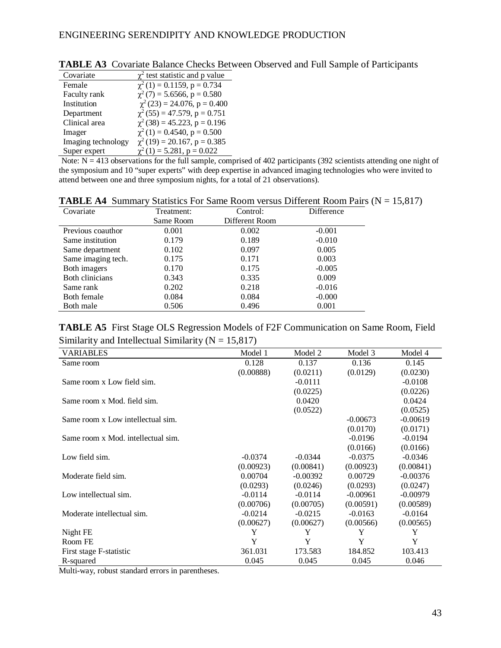| Covariate          | $\chi^2$ test statistic and p value |
|--------------------|-------------------------------------|
| Female             | $\chi^2(1) = 0.1159$ , p = 0.734    |
| Faculty rank       | $\chi^2$ (7) = 5.6566, p = 0.580    |
| Institution        | $\chi^2$ (23) = 24.076, p = 0.400   |
| Department         | $\chi^2$ (55) = 47.579, p = 0.751   |
| Clinical area      | $\chi^2$ (38) = 45.223, p = 0.196   |
| Imager             | $\chi^2(1) = 0.4540$ , p = 0.500    |
| Imaging technology | $\chi^2(19) = 20.167$ , p = 0.385   |
| Super expert       | $\chi^2(1) = 5.281$ , p = 0.022     |

| <b>TABLE A3</b> Covariate Balance Checks Between Observed and Full Sample of Participants |  |  |  |
|-------------------------------------------------------------------------------------------|--|--|--|
|-------------------------------------------------------------------------------------------|--|--|--|

Note:  $N = 413$  observations for the full sample, comprised of 402 participants (392 scientists attending one night of the symposium and 10 "super experts" with deep expertise in advanced imaging technologies who were invited to attend between one and three symposium nights, for a total of 21 observations).

| тты денти учи      |            | Diamones I of Dalile Kooni versus Different Kooni I ans $(1) - 1$ . |            |  |
|--------------------|------------|---------------------------------------------------------------------|------------|--|
| Covariate          | Treatment: | Control:                                                            | Difference |  |
|                    | Same Room  | Different Room                                                      |            |  |
| Previous coauthor  | 0.001      | 0.002                                                               | $-0.001$   |  |
| Same institution   | 0.179      | 0.189                                                               | $-0.010$   |  |
| Same department    | 0.102      | 0.097                                                               | 0.005      |  |
| Same imaging tech. | 0.175      | 0.171                                                               | 0.003      |  |
| Both imagers       | 0.170      | 0.175                                                               | $-0.005$   |  |
| Both clinicians    | 0.343      | 0.335                                                               | 0.009      |  |
| Same rank          | 0.202      | 0.218                                                               | $-0.016$   |  |
| Both female        | 0.084      | 0.084                                                               | $-0.000$   |  |
| Both male          | 0.506      | 0.496                                                               | 0.001      |  |

**TABLE A4** Summary Statistics For Same Room versus Different Room Pairs ( $N = 15.817$ )

**TABLE A5** First Stage OLS Regression Models of F2F Communication on Same Room, Field Similarity and Intellectual Similarity ( $N = 15,817$ )

| <b>VARIABLES</b>                   | Model 1   | Model 2    | Model 3    | Model 4    |
|------------------------------------|-----------|------------|------------|------------|
| Same room                          | 0.128     | 0.137      | 0.136      | 0.145      |
|                                    | (0.00888) | (0.0211)   | (0.0129)   | (0.0230)   |
| Same room x Low field sim.         |           | $-0.0111$  |            | $-0.0108$  |
|                                    |           | (0.0225)   |            | (0.0226)   |
| Same room x Mod. field sim.        |           | 0.0420     |            | 0.0424     |
|                                    |           | (0.0522)   |            | (0.0525)   |
| Same room x Low intellectual sim.  |           |            | $-0.00673$ | $-0.00619$ |
|                                    |           |            | (0.0170)   | (0.0171)   |
| Same room x Mod. intellectual sim. |           |            | $-0.0196$  | $-0.0194$  |
|                                    |           |            | (0.0166)   | (0.0166)   |
| Low field sim.                     | $-0.0374$ | $-0.0344$  | $-0.0375$  | $-0.0346$  |
|                                    | (0.00923) | (0.00841)  | (0.00923)  | (0.00841)  |
| Moderate field sim.                | 0.00704   | $-0.00392$ | 0.00729    | $-0.00376$ |
|                                    | (0.0293)  | (0.0246)   | (0.0293)   | (0.0247)   |
| Low intellectual sim.              | $-0.0114$ | $-0.0114$  | $-0.00961$ | $-0.00979$ |
|                                    | (0.00706) | (0.00705)  | (0.00591)  | (0.00589)  |
| Moderate intellectual sim.         | $-0.0214$ | $-0.0215$  | $-0.0163$  | $-0.0164$  |
|                                    | (0.00627) | (0.00627)  | (0.00566)  | (0.00565)  |
| Night FE                           | Y         | Y          | Y          | Y          |
| Room FE                            | Y         | Y          | Y          | Y          |
| First stage F-statistic            | 361.031   | 173.583    | 184.852    | 103.413    |
| R-squared                          | 0.045     | 0.045      | 0.045      | 0.046      |

Multi-way, robust standard errors in parentheses.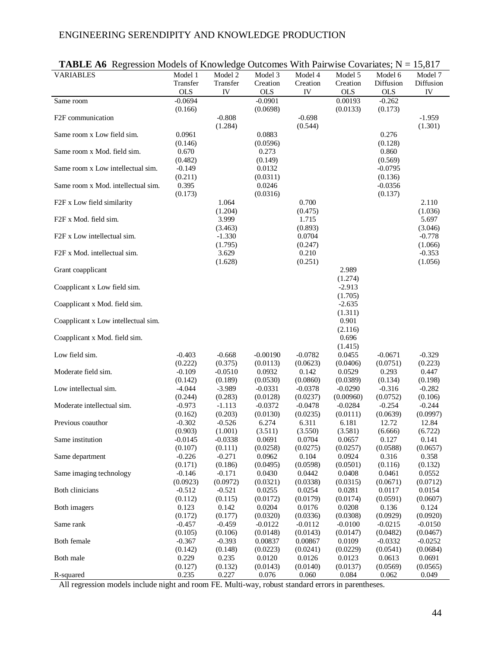| <b>TADLE AV</b> TO RECOMMENDED OF KID WICKED OUTCOMES WHILE ALL WISCO VALIATES, IN $-13,017$ |            |           |            |           |            |            |           |
|----------------------------------------------------------------------------------------------|------------|-----------|------------|-----------|------------|------------|-----------|
| <b>VARIABLES</b>                                                                             | Model 1    | Model 2   | Model 3    | Model 4   | Model 5    | Model 6    | Model 7   |
|                                                                                              | Transfer   | Transfer  | Creation   | Creation  | Creation   | Diffusion  | Diffusion |
|                                                                                              | <b>OLS</b> | IV        | <b>OLS</b> | IV        | <b>OLS</b> | <b>OLS</b> | IV        |
| Same room                                                                                    | $-0.0694$  |           | $-0.0901$  |           | 0.00193    | $-0.262$   |           |
|                                                                                              | (0.166)    |           | (0.0698)   |           | (0.0133)   | (0.173)    |           |
|                                                                                              |            |           |            |           |            |            |           |
| F <sub>2F</sub> communication                                                                |            | $-0.808$  |            | $-0.698$  |            |            | $-1.959$  |
|                                                                                              |            | (1.284)   |            | (0.544)   |            |            | (1.301)   |
| Same room x Low field sim.                                                                   | 0.0961     |           | 0.0883     |           |            | 0.276      |           |
|                                                                                              | (0.146)    |           | (0.0596)   |           |            | (0.128)    |           |
| Same room x Mod. field sim.                                                                  | 0.670      |           | 0.273      |           |            | 0.860      |           |
|                                                                                              | (0.482)    |           | (0.149)    |           |            | (0.569)    |           |
| Same room x Low intellectual sim.                                                            | $-0.149$   |           | 0.0132     |           |            | $-0.0795$  |           |
|                                                                                              | (0.211)    |           | (0.0311)   |           |            | (0.136)    |           |
| Same room x Mod. intellectual sim.                                                           | 0.395      |           | 0.0246     |           |            | $-0.0356$  |           |
|                                                                                              |            |           |            |           |            |            |           |
|                                                                                              | (0.173)    |           | (0.0316)   |           |            | (0.137)    |           |
| F2F x Low field similarity                                                                   |            | 1.064     |            | 0.700     |            |            | 2.110     |
|                                                                                              |            | (1.204)   |            | (0.475)   |            |            | (1.036)   |
| F2F x Mod. field sim.                                                                        |            | 3.999     |            | 1.715     |            |            | 5.697     |
|                                                                                              |            | (3.463)   |            | (0.893)   |            |            | (3.046)   |
| F2F x Low intellectual sim.                                                                  |            | $-1.330$  |            | 0.0704    |            |            | $-0.778$  |
|                                                                                              |            | (1.795)   |            | (0.247)   |            |            | (1.066)   |
| F2F x Mod. intellectual sim.                                                                 |            | 3.629     |            | 0.210     |            |            | $-0.353$  |
|                                                                                              |            | (1.628)   |            | (0.251)   |            |            | (1.056)   |
|                                                                                              |            |           |            |           | 2.989      |            |           |
| Grant coapplicant                                                                            |            |           |            |           |            |            |           |
|                                                                                              |            |           |            |           | (1.274)    |            |           |
| Coapplicant x Low field sim.                                                                 |            |           |            |           | $-2.913$   |            |           |
|                                                                                              |            |           |            |           | (1.705)    |            |           |
| Coapplicant x Mod. field sim.                                                                |            |           |            |           | $-2.635$   |            |           |
|                                                                                              |            |           |            |           | (1.311)    |            |           |
| Coapplicant x Low intellectual sim.                                                          |            |           |            |           | 0.901      |            |           |
|                                                                                              |            |           |            |           | (2.116)    |            |           |
| Coapplicant x Mod. field sim.                                                                |            |           |            |           | 0.696      |            |           |
|                                                                                              |            |           |            |           |            |            |           |
|                                                                                              |            |           |            |           | (1.415)    |            |           |
| Low field sim.                                                                               | $-0.403$   | $-0.668$  | $-0.00190$ | $-0.0782$ | 0.0455     | $-0.0671$  | $-0.329$  |
|                                                                                              | (0.222)    | (0.375)   | (0.0113)   | (0.0623)  | (0.0406)   | (0.0751)   | (0.223)   |
| Moderate field sim.                                                                          | $-0.109$   | $-0.0510$ | 0.0932     | 0.142     | 0.0529     | 0.293      | 0.447     |
|                                                                                              | (0.142)    | (0.189)   | (0.0530)   | (0.0860)  | (0.0389)   | (0.134)    | (0.198)   |
| Low intellectual sim.                                                                        | $-4.044$   | $-3.989$  | $-0.0331$  | $-0.0378$ | $-0.0290$  | $-0.316$   | $-0.282$  |
|                                                                                              | (0.244)    | (0.283)   | (0.0128)   | (0.0237)  | (0.00960)  | (0.0752)   | (0.106)   |
| Moderate intellectual sim.                                                                   | $-0.973$   | $-1.113$  | $-0.0372$  | $-0.0478$ | $-0.0284$  | $-0.254$   | $-0.244$  |
|                                                                                              | (0.162)    | (0.203)   | (0.0130)   | (0.0235)  | (0.0111)   | (0.0639)   | (0.0997)  |
| Previous coauthor                                                                            | $-0.302$   | $-0.526$  | 6.274      | 6.311     | 6.181      | 12.72      | 12.84     |
|                                                                                              | (0.903)    | (1.001)   | (3.511)    | (3.550)   | (3.581)    | (6.666)    | (6.722)   |
|                                                                                              |            |           |            |           |            |            |           |
| Same institution                                                                             | -0.0145    | $-0.0338$ | 0.0691     | 0.0704    | 0.0657     | 0.127      | 0.141     |
|                                                                                              | (0.107)    | (0.111)   | (0.0258)   | (0.0275)  | (0.0257)   | (0.0588)   | (0.0657)  |
| Same department                                                                              | $-0.226$   | $-0.271$  | 0.0962     | 0.104     | 0.0924     | 0.316      | 0.358     |
|                                                                                              | (0.171)    | (0.186)   | (0.0495)   | (0.0598)  | (0.0501)   | (0.116)    | (0.132)   |
| Same imaging technology                                                                      | $-0.146$   | $-0.171$  | 0.0430     | 0.0442    | 0.0408     | 0.0461     | 0.0552    |
|                                                                                              | (0.0923)   | (0.0972)  | (0.0321)   | (0.0338)  | (0.0315)   | (0.0671)   | (0.0712)  |
| Both clinicians                                                                              | $-0.512$   | $-0.521$  | 0.0255     | 0.0254    | 0.0281     | 0.0117     | 0.0154    |
|                                                                                              | (0.112)    | (0.115)   | (0.0172)   | (0.0179)  | (0.0174)   | (0.0591)   | (0.0607)  |
|                                                                                              |            |           |            |           |            |            |           |
| Both imagers                                                                                 | 0.123      | 0.142     | 0.0204     | 0.0176    | 0.0208     | 0.136      | 0.124     |
|                                                                                              | (0.172)    | (0.177)   | (0.0320)   | (0.0336)  | (0.0308)   | (0.0929)   | (0.0920)  |
| Same rank                                                                                    | $-0.457$   | $-0.459$  | $-0.0122$  | $-0.0112$ | $-0.0100$  | $-0.0215$  | $-0.0150$ |
|                                                                                              | (0.105)    | (0.106)   | (0.0148)   | (0.0143)  | (0.0147)   | (0.0482)   | (0.0467)  |
| Both female                                                                                  | $-0.367$   | $-0.393$  | 0.00837    | 0.00867   | 0.0109     | $-0.0332$  | $-0.0252$ |
|                                                                                              | (0.142)    | (0.148)   | (0.0223)   | (0.0241)  | (0.0229)   | (0.0541)   | (0.0684)  |
| Both male                                                                                    | 0.229      | 0.235     | 0.0120     | 0.0126    | 0.0123     | 0.0613     | 0.0691    |
|                                                                                              | (0.127)    | (0.132)   | (0.0143)   | (0.0140)  | (0.0137)   | (0.0569)   | (0.0565)  |
|                                                                                              |            |           |            |           |            |            |           |
| R-squared                                                                                    | 0.235      | 0.227     | 0.076      | 0.060     | 0.084      | 0.062      | 0.049     |

|  | <b>TABLE A6</b> Regression Models of Knowledge Outcomes With Pairwise Covariates; $N = 15,817$ |  |  |
|--|------------------------------------------------------------------------------------------------|--|--|
|  |                                                                                                |  |  |

All regression models include night and room FE. Multi-way, robust standard errors in parentheses.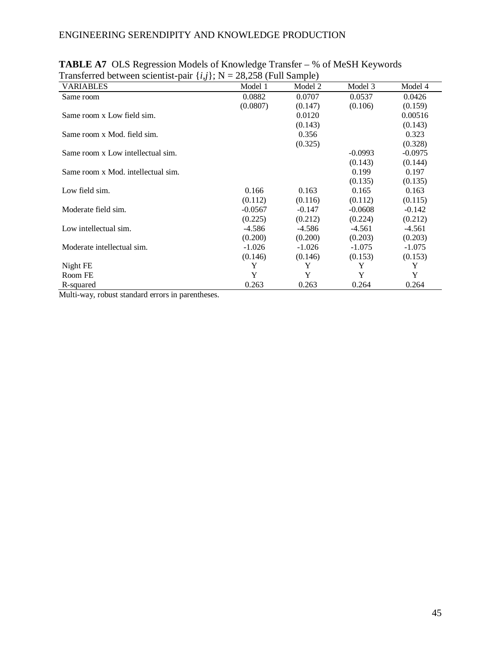| $\left(\cdot,\cdot\right)$ , $\cdot$ $\cdot$ |           | $(1.41 \times 10^{11})$ |           |           |
|----------------------------------------------|-----------|-------------------------|-----------|-----------|
| <b>VARIABLES</b>                             | Model 1   | Model 2                 | Model 3   | Model 4   |
| Same room                                    | 0.0882    | 0.0707                  | 0.0537    | 0.0426    |
|                                              | (0.0807)  | (0.147)                 | (0.106)   | (0.159)   |
| Same room x Low field sim.                   |           | 0.0120                  |           | 0.00516   |
|                                              |           | (0.143)                 |           | (0.143)   |
| Same room x Mod. field sim.                  |           | 0.356                   |           | 0.323     |
|                                              |           | (0.325)                 |           | (0.328)   |
| Same room x Low intellectual sim.            |           |                         | $-0.0993$ | $-0.0975$ |
|                                              |           |                         | (0.143)   | (0.144)   |
| Same room x Mod. intellectual sim.           |           |                         | 0.199     | 0.197     |
|                                              |           |                         | (0.135)   | (0.135)   |
| Low field sim.                               | 0.166     | 0.163                   | 0.165     | 0.163     |
|                                              | (0.112)   | (0.116)                 | (0.112)   | (0.115)   |
| Moderate field sim.                          | $-0.0567$ | $-0.147$                | $-0.0608$ | $-0.142$  |
|                                              | (0.225)   | (0.212)                 | (0.224)   | (0.212)   |
| Low intellectual sim.                        | $-4.586$  | $-4.586$                | $-4.561$  | $-4.561$  |
|                                              | (0.200)   | (0.200)                 | (0.203)   | (0.203)   |
| Moderate intellectual sim.                   | $-1.026$  | $-1.026$                | $-1.075$  | $-1.075$  |
|                                              | (0.146)   | (0.146)                 | (0.153)   | (0.153)   |
| Night FE                                     | Y         | Y                       | Y         | Y         |
| Room FE                                      | Y         | Y                       | Y         | Y         |
| R-squared                                    | 0.263     | 0.263                   | 0.264     | 0.264     |

| <b>TABLE A7</b> OLS Regression Models of Knowledge Transfer – % of MeSH Keywords |  |
|----------------------------------------------------------------------------------|--|
| Transferred between scientist-pair $\{i,j\}$ ; N = 28,258 (Full Sample)          |  |

Multi-way, robust standard errors in parentheses.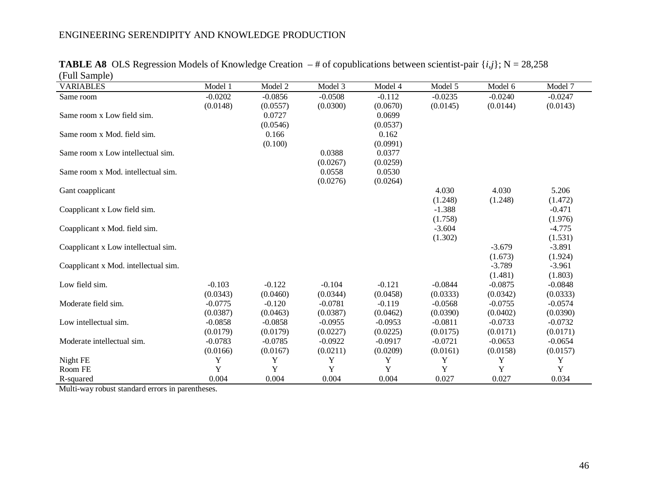| <b>VARIABLES</b>                     | Model 1   | Model 2   | Model 3   | Model 4   | Model 5   | Model 6   | Model 7   |
|--------------------------------------|-----------|-----------|-----------|-----------|-----------|-----------|-----------|
| Same room                            | $-0.0202$ | $-0.0856$ | $-0.0508$ | $-0.112$  | $-0.0235$ | $-0.0240$ | $-0.0247$ |
|                                      | (0.0148)  | (0.0557)  | (0.0300)  | (0.0670)  | (0.0145)  | (0.0144)  | (0.0143)  |
| Same room x Low field sim.           |           | 0.0727    |           | 0.0699    |           |           |           |
|                                      |           | (0.0546)  |           | (0.0537)  |           |           |           |
| Same room x Mod. field sim.          |           | 0.166     |           | 0.162     |           |           |           |
|                                      |           | (0.100)   |           | (0.0991)  |           |           |           |
| Same room x Low intellectual sim.    |           |           | 0.0388    | 0.0377    |           |           |           |
|                                      |           |           | (0.0267)  | (0.0259)  |           |           |           |
| Same room x Mod. intellectual sim.   |           |           | 0.0558    | 0.0530    |           |           |           |
|                                      |           |           | (0.0276)  | (0.0264)  |           |           |           |
| Gant coapplicant                     |           |           |           |           | 4.030     | 4.030     | 5.206     |
|                                      |           |           |           |           | (1.248)   | (1.248)   | (1.472)   |
| Coapplicant x Low field sim.         |           |           |           |           | $-1.388$  |           | $-0.471$  |
|                                      |           |           |           |           | (1.758)   |           | (1.976)   |
| Coapplicant x Mod. field sim.        |           |           |           |           | $-3.604$  |           | $-4.775$  |
|                                      |           |           |           |           | (1.302)   |           | (1.531)   |
| Coapplicant x Low intellectual sim.  |           |           |           |           |           | $-3.679$  | $-3.891$  |
|                                      |           |           |           |           |           | (1.673)   | (1.924)   |
| Coapplicant x Mod. intellectual sim. |           |           |           |           |           | $-3.789$  | $-3.961$  |
|                                      |           |           |           |           |           | (1.481)   | (1.803)   |
| Low field sim.                       | $-0.103$  | $-0.122$  | $-0.104$  | $-0.121$  | $-0.0844$ | $-0.0875$ | $-0.0848$ |
|                                      | (0.0343)  | (0.0460)  | (0.0344)  | (0.0458)  | (0.0333)  | (0.0342)  | (0.0333)  |
| Moderate field sim.                  | $-0.0775$ | $-0.120$  | $-0.0781$ | $-0.119$  | $-0.0568$ | $-0.0755$ | $-0.0574$ |
|                                      | (0.0387)  | (0.0463)  | (0.0387)  | (0.0462)  | (0.0390)  | (0.0402)  | (0.0390)  |
| Low intellectual sim.                | $-0.0858$ | $-0.0858$ | $-0.0955$ | $-0.0953$ | $-0.0811$ | $-0.0733$ | $-0.0732$ |
|                                      | (0.0179)  | (0.0179)  | (0.0227)  | (0.0225)  | (0.0175)  | (0.0171)  | (0.0171)  |
| Moderate intellectual sim.           | $-0.0783$ | $-0.0785$ | $-0.0922$ | $-0.0917$ | $-0.0721$ | $-0.0653$ | $-0.0654$ |
|                                      | (0.0166)  | (0.0167)  | (0.0211)  | (0.0209)  | (0.0161)  | (0.0158)  | (0.0157)  |
| Night FE                             | Y         | Y         | Y         | Y         | Y         | Y         | Y         |
| Room FE                              | Y         | Y         | Y         | Y         | Y         | Y         | Y         |
| R-squared                            | 0.004     | 0.004     | 0.004     | 0.004     | 0.027     | 0.027     | 0.034     |

**TABLE A8** OLS Regression Models of Knowledge Creation  $-$  # of copublications between scientist-pair  $\{i, j\}$ ; N = 28,258 (Full Sample)

Multi-way robust standard errors in parentheses.